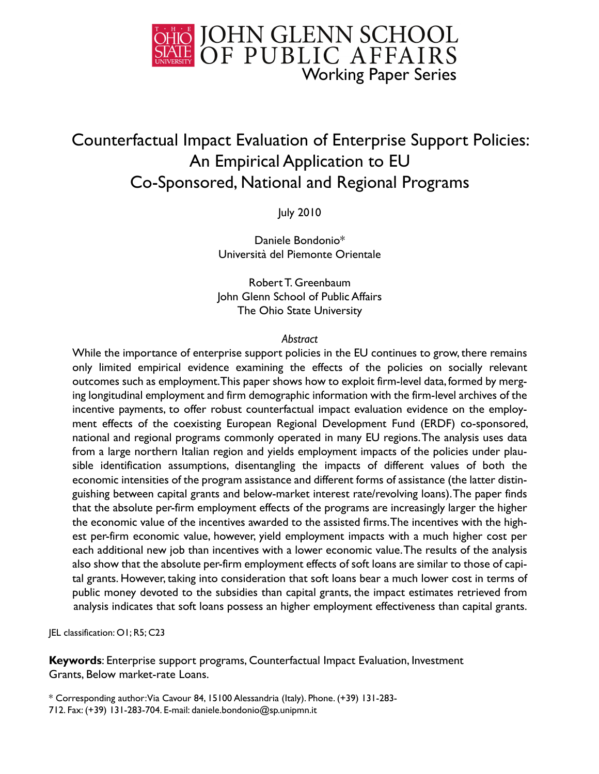

# Counterfactual Impact Evaluation of Enterprise Support Policies: An Empirical Application to EU Co-Sponsored, National and Regional Programs

July 2010

Daniele Bondonio\* Università del Piemonte Orientale

Robert T. Greenbaum John Glenn School of Public Affairs The Ohio State University

#### *Abstract*

While the importance of enterprise support policies in the EU continues to grow, there remains only limited empirical evidence examining the effects of the policies on socially relevant outcomes such as employment. This paper shows how to exploit firm-level data, formed by merging longitudinal employment and firm demographic information with the firm-level archives of the incentive payments, to offer robust counterfactual impact evaluation evidence on the employment effects of the coexisting European Regional Development Fund (ERDF) co-sponsored, national and regional programs commonly operated in many EU regions. The analysis uses data from a large northern Italian region and yields employment impacts of the policies under plausible identification assumptions, disentangling the impacts of different values of both the economic intensities of the program assistance and different forms of assistance (the latter distinguishing between capital grants and below-market interest rate/revolving loans). The paper finds that the absolute per-firm employment effects of the programs are increasingly larger the higher the economic value of the incentives awarded to the assisted firms. The incentives with the highest per-firm economic value, however, yield employment impacts with a much higher cost per each additional new job than incentives with a lower economic value. The results of the analysis also show that the absolute per-firm employment effects of soft loans are similar to those of capital grants. However, taking into consideration that soft loans bear a much lower cost in terms of public money devoted to the subsidies than capital grants, the impact estimates retrieved from analysis indicates that soft loans possess an higher employment effectiveness than capital grants.

JEL classification: O1; R5; C23

**Keywords**: Enterprise support programs, Counterfactual Impact Evaluation, Investment Grants, Below market-rate Loans.

\* Corresponding author: Via Cavour 84, 15100 Alessandria (Italy). Phone. (+39) 131-283- 712. Fax: (+39) 131-283-704. E-mail: daniele.bondonio@sp.unipmn.it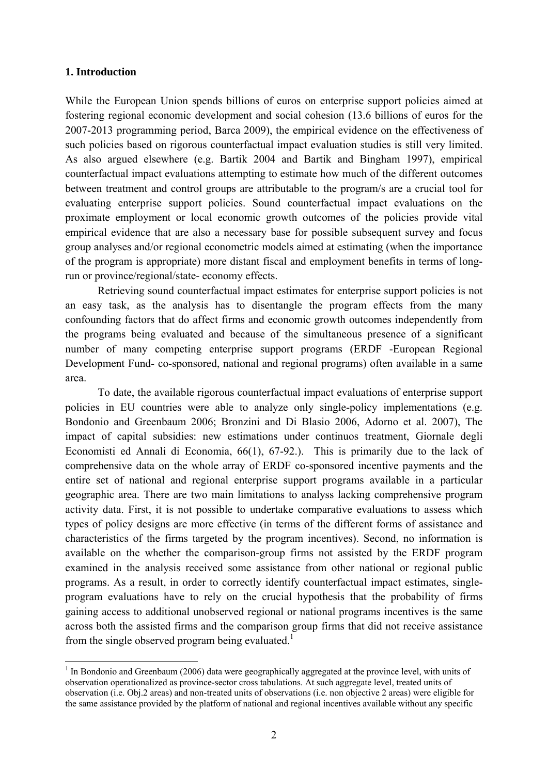#### **1. Introduction**

1

While the European Union spends billions of euros on enterprise support policies aimed at fostering regional economic development and social cohesion (13.6 billions of euros for the 2007-2013 programming period, Barca 2009), the empirical evidence on the effectiveness of such policies based on rigorous counterfactual impact evaluation studies is still very limited. As also argued elsewhere (e.g. Bartik 2004 and Bartik and Bingham 1997), empirical counterfactual impact evaluations attempting to estimate how much of the different outcomes between treatment and control groups are attributable to the program/s are a crucial tool for evaluating enterprise support policies. Sound counterfactual impact evaluations on the proximate employment or local economic growth outcomes of the policies provide vital empirical evidence that are also a necessary base for possible subsequent survey and focus group analyses and/or regional econometric models aimed at estimating (when the importance of the program is appropriate) more distant fiscal and employment benefits in terms of longrun or province/regional/state- economy effects.

Retrieving sound counterfactual impact estimates for enterprise support policies is not an easy task, as the analysis has to disentangle the program effects from the many confounding factors that do affect firms and economic growth outcomes independently from the programs being evaluated and because of the simultaneous presence of a significant number of many competing enterprise support programs (ERDF -European Regional Development Fund- co-sponsored, national and regional programs) often available in a same area.

To date, the available rigorous counterfactual impact evaluations of enterprise support policies in EU countries were able to analyze only single-policy implementations (e.g. Bondonio and Greenbaum 2006; Bronzini and Di Blasio 2006, Adorno et al. 2007), The impact of capital subsidies: new estimations under continuos treatment, Giornale degli Economisti ed Annali di Economia, 66(1), 67-92.). This is primarily due to the lack of comprehensive data on the whole array of ERDF co-sponsored incentive payments and the entire set of national and regional enterprise support programs available in a particular geographic area. There are two main limitations to analyss lacking comprehensive program activity data. First, it is not possible to undertake comparative evaluations to assess which types of policy designs are more effective (in terms of the different forms of assistance and characteristics of the firms targeted by the program incentives). Second, no information is available on the whether the comparison-group firms not assisted by the ERDF program examined in the analysis received some assistance from other national or regional public programs. As a result, in order to correctly identify counterfactual impact estimates, singleprogram evaluations have to rely on the crucial hypothesis that the probability of firms gaining access to additional unobserved regional or national programs incentives is the same across both the assisted firms and the comparison group firms that did not receive assistance from the single observed program being evaluated.<sup>1</sup>

<sup>&</sup>lt;sup>1</sup> In Bondonio and Greenbaum (2006) data were geographically aggregated at the province level, with units of observation operationalized as province-sector cross tabulations. At such aggregate level, treated units of observation (i.e. Obj.2 areas) and non-treated units of observations (i.e. non objective 2 areas) were eligible for the same assistance provided by the platform of national and regional incentives available without any specific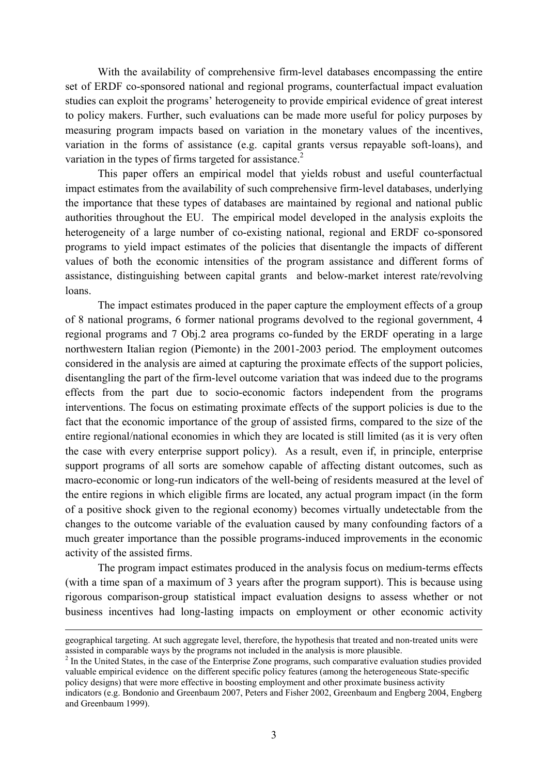With the availability of comprehensive firm-level databases encompassing the entire set of ERDF co-sponsored national and regional programs, counterfactual impact evaluation studies can exploit the programs' heterogeneity to provide empirical evidence of great interest to policy makers. Further, such evaluations can be made more useful for policy purposes by measuring program impacts based on variation in the monetary values of the incentives, variation in the forms of assistance (e.g. capital grants versus repayable soft-loans), and variation in the types of firms targeted for assistance. $2$ 

This paper offers an empirical model that yields robust and useful counterfactual impact estimates from the availability of such comprehensive firm-level databases, underlying the importance that these types of databases are maintained by regional and national public authorities throughout the EU. The empirical model developed in the analysis exploits the heterogeneity of a large number of co-existing national, regional and ERDF co-sponsored programs to yield impact estimates of the policies that disentangle the impacts of different values of both the economic intensities of the program assistance and different forms of assistance, distinguishing between capital grants and below-market interest rate/revolving loans.

The impact estimates produced in the paper capture the employment effects of a group of 8 national programs, 6 former national programs devolved to the regional government, 4 regional programs and 7 Obj.2 area programs co-funded by the ERDF operating in a large northwestern Italian region (Piemonte) in the 2001-2003 period. The employment outcomes considered in the analysis are aimed at capturing the proximate effects of the support policies, disentangling the part of the firm-level outcome variation that was indeed due to the programs effects from the part due to socio-economic factors independent from the programs interventions. The focus on estimating proximate effects of the support policies is due to the fact that the economic importance of the group of assisted firms, compared to the size of the entire regional/national economies in which they are located is still limited (as it is very often the case with every enterprise support policy). As a result, even if, in principle, enterprise support programs of all sorts are somehow capable of affecting distant outcomes, such as macro-economic or long-run indicators of the well-being of residents measured at the level of the entire regions in which eligible firms are located, any actual program impact (in the form of a positive shock given to the regional economy) becomes virtually undetectable from the changes to the outcome variable of the evaluation caused by many confounding factors of a much greater importance than the possible programs-induced improvements in the economic activity of the assisted firms.

The program impact estimates produced in the analysis focus on medium-terms effects (with a time span of a maximum of 3 years after the program support). This is because using rigorous comparison-group statistical impact evaluation designs to assess whether or not business incentives had long-lasting impacts on employment or other economic activity

geographical targeting. At such aggregate level, therefore, the hypothesis that treated and non-treated units were assisted in comparable ways by the programs not included in the analysis is more plausible. 2

<sup>&</sup>lt;sup>2</sup> In the United States, in the case of the Enterprise Zone programs, such comparative evaluation studies provided valuable empirical evidence on the different specific policy features (among the heterogeneous State-specific policy designs) that were more effective in boosting employment and other proximate business activity indicators (e.g. Bondonio and Greenbaum 2007, Peters and Fisher 2002, Greenbaum and Engberg 2004, Engberg and Greenbaum 1999).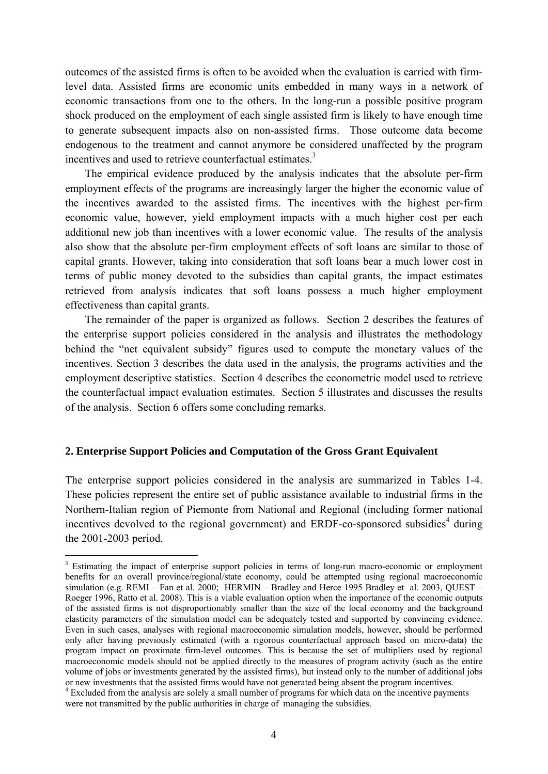outcomes of the assisted firms is often to be avoided when the evaluation is carried with firmlevel data. Assisted firms are economic units embedded in many ways in a network of economic transactions from one to the others. In the long-run a possible positive program shock produced on the employment of each single assisted firm is likely to have enough time to generate subsequent impacts also on non-assisted firms. Those outcome data become endogenous to the treatment and cannot anymore be considered unaffected by the program incentives and used to retrieve counterfactual estimates.<sup>3</sup>

 The empirical evidence produced by the analysis indicates that the absolute per-firm employment effects of the programs are increasingly larger the higher the economic value of the incentives awarded to the assisted firms. The incentives with the highest per-firm economic value, however, yield employment impacts with a much higher cost per each additional new job than incentives with a lower economic value. The results of the analysis also show that the absolute per-firm employment effects of soft loans are similar to those of capital grants. However, taking into consideration that soft loans bear a much lower cost in terms of public money devoted to the subsidies than capital grants, the impact estimates retrieved from analysis indicates that soft loans possess a much higher employment effectiveness than capital grants.

 The remainder of the paper is organized as follows. Section 2 describes the features of the enterprise support policies considered in the analysis and illustrates the methodology behind the "net equivalent subsidy" figures used to compute the monetary values of the incentives. Section 3 describes the data used in the analysis, the programs activities and the employment descriptive statistics. Section 4 describes the econometric model used to retrieve the counterfactual impact evaluation estimates. Section 5 illustrates and discusses the results of the analysis. Section 6 offers some concluding remarks.

#### **2. Enterprise Support Policies and Computation of the Gross Grant Equivalent**

<u>.</u>

The enterprise support policies considered in the analysis are summarized in Tables 1-4. These policies represent the entire set of public assistance available to industrial firms in the Northern-Italian region of Piemonte from National and Regional (including former national incentives devolved to the regional government) and ERDF-co-sponsored subsidies<sup>4</sup> during the 2001-2003 period.

<sup>&</sup>lt;sup>3</sup> Estimating the impact of enterprise support policies in terms of long-run macro-economic or employment benefits for an overall province/regional/state economy, could be attempted using regional macroeconomic simulation (e.g. REMI – Fan et al. 2000; HERMIN – Bradley and Herce 1995 Bradley et al. 2003, QUEST – Roeger 1996, Ratto et al. 2008). This is a viable evaluation option when the importance of the economic outputs of the assisted firms is not disproportionably smaller than the size of the local economy and the background elasticity parameters of the simulation model can be adequately tested and supported by convincing evidence. Even in such cases, analyses with regional macroeconomic simulation models, however, should be performed only after having previously estimated (with a rigorous counterfactual approach based on micro-data) the program impact on proximate firm-level outcomes. This is because the set of multipliers used by regional macroeconomic models should not be applied directly to the measures of program activity (such as the entire volume of jobs or investments generated by the assisted firms), but instead only to the number of additional jobs or new investments that the assisted firms would have not generated being absent the program incentives.

<sup>&</sup>lt;sup>4</sup> Excluded from the analysis are solely a small number of programs for which data on the incentive payments were not transmitted by the public authorities in charge of managing the subsidies.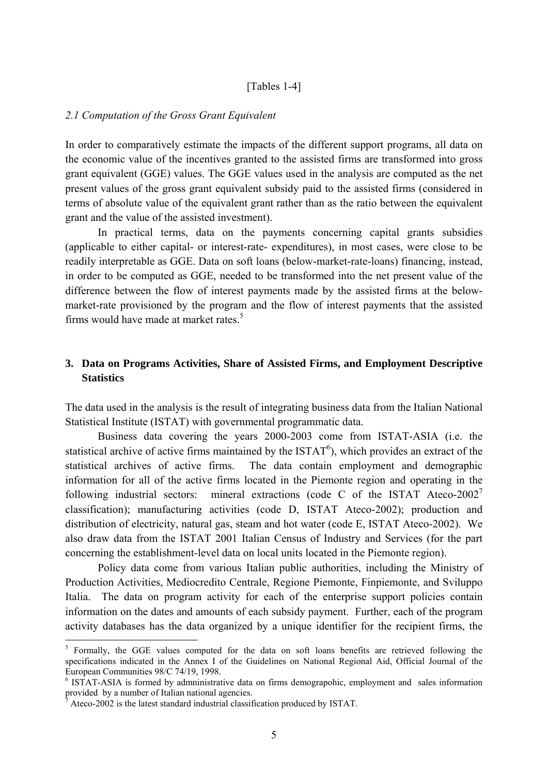#### [\[Tables 1-4\]](#page-21-0)

#### *2.1 Computation of the Gross Grant Equivalent*

In order to comparatively estimate the impacts of the different support programs, all data on the economic value of the incentives granted to the assisted firms are transformed into gross grant equivalent (GGE) values. The GGE values used in the analysis are computed as the net present values of the gross grant equivalent subsidy paid to the assisted firms (considered in terms of absolute value of the equivalent grant rather than as the ratio between the equivalent grant and the value of the assisted investment).

 In practical terms, data on the payments concerning capital grants subsidies (applicable to either capital- or interest-rate- expenditures), in most cases, were close to be readily interpretable as GGE. Data on soft loans (below-market-rate-loans) financing, instead, in order to be computed as GGE, needed to be transformed into the net present value of the difference between the flow of interest payments made by the assisted firms at the belowmarket-rate provisioned by the program and the flow of interest payments that the assisted firms would have made at market rates.<sup>5</sup>

## **3. Data on Programs Activities, Share of Assisted Firms, and Employment Descriptive Statistics**

The data used in the analysis is the result of integrating business data from the Italian National Statistical Institute (ISTAT) with governmental programmatic data.

Business data covering the years 2000-2003 come from ISTAT-ASIA (i.e. the statistical archive of active firms maintained by the  $ISTAT<sup>6</sup>$ ), which provides an extract of the statistical archives of active firms. The data contain employment and demographic information for all of the active firms located in the Piemonte region and operating in the following industrial sectors: mineral extractions (code C of the ISTAT Ateco-2002<sup>7</sup> classification); manufacturing activities (code D, ISTAT Ateco-2002); production and distribution of electricity, natural gas, steam and hot water (code E, ISTAT Ateco-2002). We also draw data from the ISTAT 2001 Italian Census of Industry and Services (for the part concerning the establishment-level data on local units located in the Piemonte region).

 Policy data come from various Italian public authorities, including the Ministry of Production Activities, Mediocredito Centrale, Regione Piemonte, Finpiemonte, and Sviluppo Italia. The data on program activity for each of the enterprise support policies contain information on the dates and amounts of each subsidy payment. Further, each of the program activity databases has the data organized by a unique identifier for the recipient firms, the

1

<sup>&</sup>lt;sup>5</sup> Formally, the GGE values computed for the data on soft loans benefits are retrieved following the specifications indicated in the Annex I of the Guidelines on National Regional Aid, Official Journal of the European Communities 98/C 74/19, 1998.

<sup>&</sup>lt;sup>6</sup> ISTAT-ASIA is formed by admninistrative data on firms demograpohic, employment and sales information provided by a number of Italian national agencies.

 $^7$  Ateco-2002 is the latest standard industrial classification produced by ISTAT.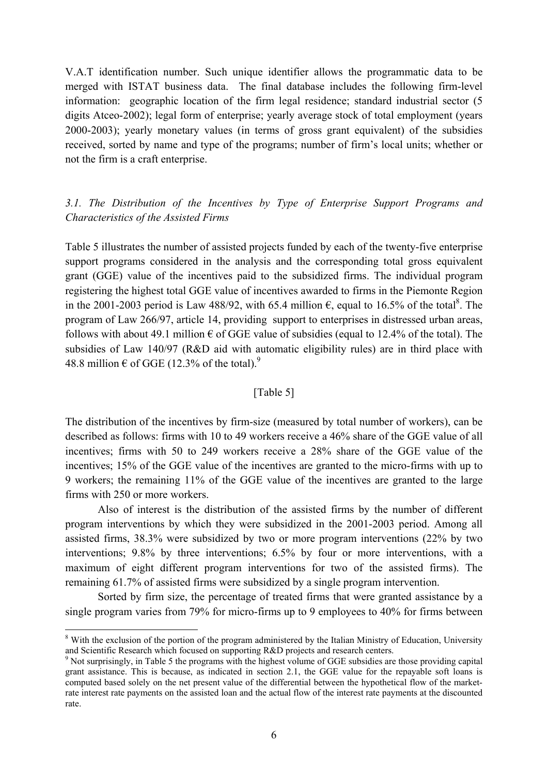V.A.T identification number. Such unique identifier allows the programmatic data to be merged with ISTAT business data. The final database includes the following firm-level information: geographic location of the firm legal residence; standard industrial sector (5 digits Atceo-2002); legal form of enterprise; yearly average stock of total employment (years 2000-2003); yearly monetary values (in terms of gross grant equivalent) of the subsidies received, sorted by name and type of the programs; number of firm's local units; whether or not the firm is a craft enterprise.

## *3.1. The Distribution of the Incentives by Type of Enterprise Support Programs and Characteristics of the Assisted Firms*

Table 5 illustrates the number of assisted projects funded by each of the twenty-five enterprise support programs considered in the analysis and the corresponding total gross equivalent grant (GGE) value of the incentives paid to the subsidized firms. The individual program registering the highest total GGE value of incentives awarded to firms in the Piemonte Region in the 2001-2003 period is Law 488/92, with 65.4 million  $\epsilon$ , equal to 16.5% of the total<sup>8</sup>. The program of Law 266/97, article 14, providing support to enterprises in distressed urban areas, follows with about 49.1 million  $\epsilon$  of GGE value of subsidies (equal to 12.4% of the total). The subsidies of Law 140/97 (R&D aid with automatic eligibility rules) are in third place with 48.8 million  $\epsilon$  of GGE (12.3% of the total).<sup>9</sup>

## [Table 5]

The distribution of the incentives by firm-size (measured by total number of workers), can be described as follows: firms with 10 to 49 workers receive a 46% share of the GGE value of all incentives; firms with 50 to 249 workers receive a 28% share of the GGE value of the incentives; 15% of the GGE value of the incentives are granted to the micro-firms with up to 9 workers; the remaining 11% of the GGE value of the incentives are granted to the large firms with 250 or more workers.

Also of interest is the distribution of the assisted firms by the number of different program interventions by which they were subsidized in the 2001-2003 period. Among all assisted firms, 38.3% were subsidized by two or more program interventions (22% by two interventions; 9.8% by three interventions; 6.5% by four or more interventions, with a maximum of eight different program interventions for two of the assisted firms). The remaining 61.7% of assisted firms were subsidized by a single program intervention.

 Sorted by firm size, the percentage of treated firms that were granted assistance by a single program varies from 79% for micro-firms up to 9 employees to 40% for firms between

1

<sup>&</sup>lt;sup>8</sup> With the exclusion of the portion of the program administered by the Italian Ministry of Education, University and Scientific Research which focused on supporting R&D projects and research centers.

<sup>&</sup>lt;sup>9</sup> Not surprisingly, in Table 5 the programs with the highest volume of GGE subsidies are those providing capital grant assistance. This is because, as indicated in section 2.1, the GGE value for the repayable soft loans is computed based solely on the net present value of the differential between the hypothetical flow of the marketrate interest rate payments on the assisted loan and the actual flow of the interest rate payments at the discounted rate.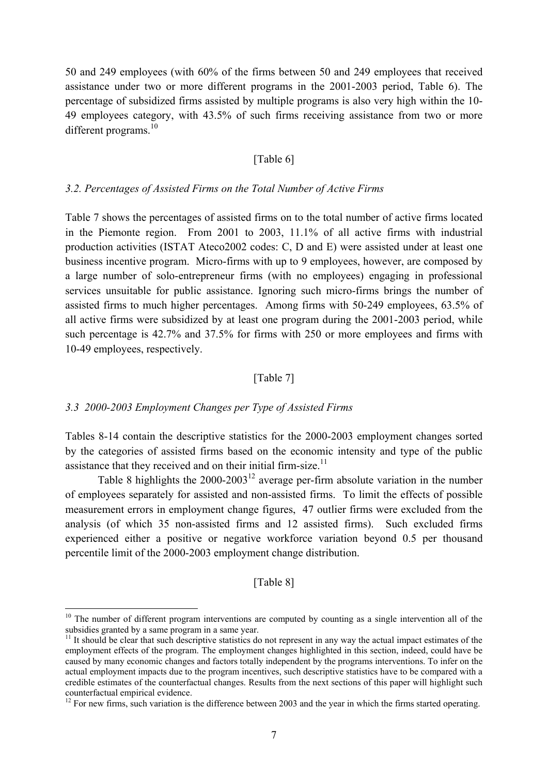50 and 249 employees (with 60% of the firms between 50 and 249 employees that received assistance under two or more different programs in the 2001-2003 period, Table 6). The percentage of subsidized firms assisted by multiple programs is also very high within the 10- 49 employees category, with 43.5% of such firms receiving assistance from two or more different programs. $10$ 

#### [Table 6]

#### *3.2. Percentages of Assisted Firms on the Total Number of Active Firms*

Table 7 shows the percentages of assisted firms on to the total number of active firms located in the Piemonte region. From 2001 to 2003, 11.1% of all active firms with industrial production activities (ISTAT Ateco2002 codes: C, D and E) were assisted under at least one business incentive program. Micro-firms with up to 9 employees, however, are composed by a large number of solo-entrepreneur firms (with no employees) engaging in professional services unsuitable for public assistance. Ignoring such micro-firms brings the number of assisted firms to much higher percentages. Among firms with 50-249 employees, 63.5% of all active firms were subsidized by at least one program during the 2001-2003 period, while such percentage is 42.7% and 37.5% for firms with 250 or more employees and firms with 10-49 employees, respectively.

## [Table 7]

#### *3.3 2000-2003 Employment Changes per Type of Assisted Firms*

1

Tables 8-14 contain the descriptive statistics for the 2000-2003 employment changes sorted by the categories of assisted firms based on the economic intensity and type of the public assistance that they received and on their initial firm-size. $11$ 

Table 8 highlights the  $2000-2003^{12}$  average per-firm absolute variation in the number of employees separately for assisted and non-assisted firms. To limit the effects of possible measurement errors in employment change figures, 47 outlier firms were excluded from the analysis (of which 35 non-assisted firms and 12 assisted firms). Such excluded firms experienced either a positive or negative workforce variation beyond 0.5 per thousand percentile limit of the 2000-2003 employment change distribution.

#### [\[Table 8\]](#page-28-0)

<sup>&</sup>lt;sup>10</sup> The number of different program interventions are computed by counting as a single intervention all of the subsidies granted by a same program in a same year.

<sup>&</sup>lt;sup>11</sup> It should be clear that such descriptive statistics do not represent in any way the actual impact estimates of the employment effects of the program. The employment changes highlighted in this section, indeed, could have be caused by many economic changes and factors totally independent by the programs interventions. To infer on the actual employment impacts due to the program incentives, such descriptive statistics have to be compared with a credible estimates of the counterfactual changes. Results from the next sections of this paper will highlight such counterfactual empirical evidence.

<sup>&</sup>lt;sup>12</sup> For new firms, such variation is the difference between 2003 and the year in which the firms started operating.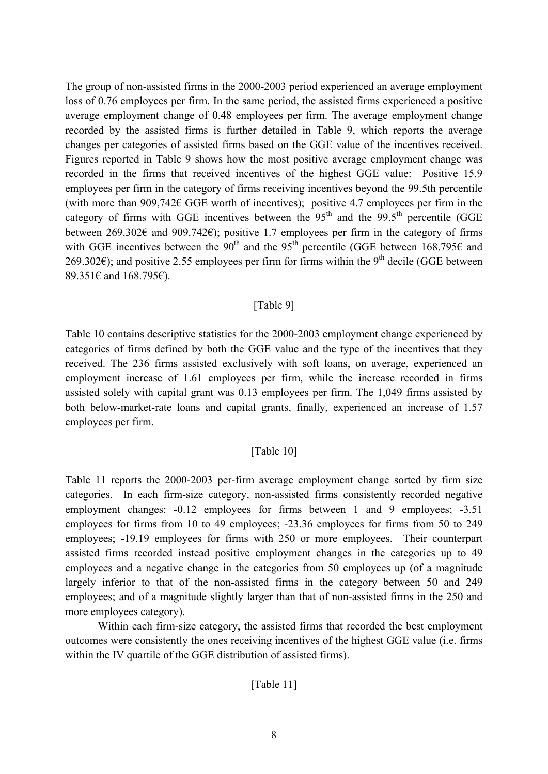The group of non-assisted firms in the 2000-2003 period experienced an average employment loss of 0.76 employees per firm. In the same period, the assisted firms experienced a positive average employment change of 0.48 employees per firm. The average employment change recorded by the assisted firms is further detailed in Table 9, which reports the average changes per categories of assisted firms based on the GGE value of the incentives received. Figures reported in Table 9 shows how the most positive average employment change was recorded in the firms that received incentives of the highest GGE value: Positive 15.9 employees per firm in the category of firms receiving incentives beyond the 99.5th percentile (with more than 909,742 $\epsilon$  GGE worth of incentives); positive 4.7 employees per firm in the category of firms with GGE incentives between the  $95<sup>th</sup>$  and the  $99.5<sup>th</sup>$  percentile (GGE between 269.302€ and 909.742€); positive 1.7 employees per firm in the category of firms with GGE incentives between the 90<sup>th</sup> and the 95<sup>th</sup> percentile (GGE between 168.795 $\epsilon$  and 269.302€); and positive 2.55 employees per firm for firms within the 9<sup>th</sup> decile (GGE between 89.351€ and 168.795€).

## [\[Table 9\]](#page-29-0)

Table 10 contains descriptive statistics for the 2000-2003 employment change experienced by categories of firms defined by both the GGE value and the type of the incentives that they received. The 236 firms assisted exclusively with soft loans, on average, experienced an employment increase of 1.61 employees per firm, while the increase recorded in firms assisted solely with capital grant was 0.13 employees per firm. The 1,049 firms assisted by both below-market-rate loans and capital grants, finally, experienced an increase of 1.57 employees per firm.

## [Table 10]

Table 11 reports the 2000-2003 per-firm average employment change sorted by firm size categories. In each firm-size category, non-assisted firms consistently recorded negative employment changes:  $-0.12$  employees for firms between 1 and 9 employees:  $-3.51$ employees for firms from 10 to 49 employees; -23.36 employees for firms from 50 to 249 employees; -19.19 employees for firms with 250 or more employees. Their counterpart assisted firms recorded instead positive employment changes in the categories up to 49 employees and a negative change in the categories from 50 employees up (of a magnitude largely inferior to that of the non-assisted firms in the category between 50 and 249 employees; and of a magnitude slightly larger than that of non-assisted firms in the 250 and more employees category).

 Within each firm-size category, the assisted firms that recorded the best employment outcomes were consistently the ones receiving incentives of the highest GGE value (i.e. firms within the IV quartile of the GGE distribution of assisted firms).

## [Table 11]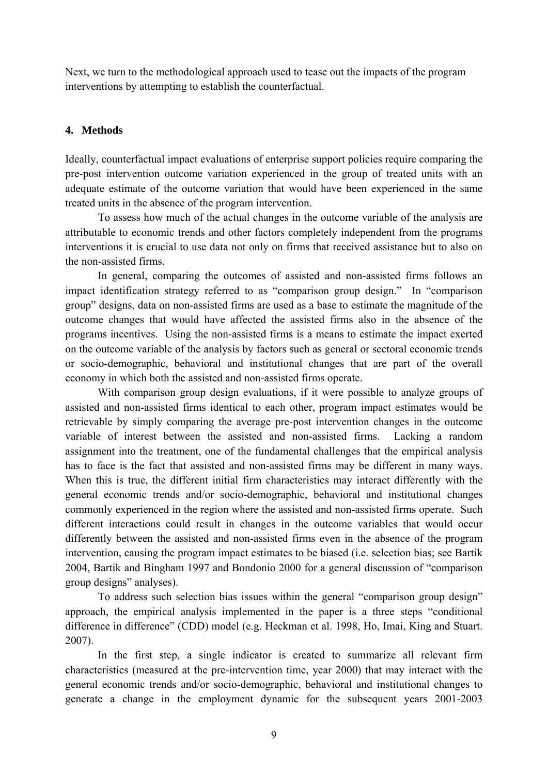Next, we turn to the methodological approach used to tease out the impacts of the program interventions by attempting to establish the counterfactual.

## **4. Methods**

Ideally, counterfactual impact evaluations of enterprise support policies require comparing the pre-post intervention outcome variation experienced in the group of treated units with an adequate estimate of the outcome variation that would have been experienced in the same treated units in the absence of the program intervention.

 To assess how much of the actual changes in the outcome variable of the analysis are attributable to economic trends and other factors completely independent from the programs interventions it is crucial to use data not only on firms that received assistance but to also on the non-assisted firms.

In general, comparing the outcomes of assisted and non-assisted firms follows an impact identification strategy referred to as "comparison group design." In "comparison group" designs, data on non-assisted firms are used as a base to estimate the magnitude of the outcome changes that would have affected the assisted firms also in the absence of the programs incentives. Using the non-assisted firms is a means to estimate the impact exerted on the outcome variable of the analysis by factors such as general or sectoral economic trends or socio-demographic, behavioral and institutional changes that are part of the overall economy in which both the assisted and non-assisted firms operate.

With comparison group design evaluations, if it were possible to analyze groups of assisted and non-assisted firms identical to each other, program impact estimates would be retrievable by simply comparing the average pre-post intervention changes in the outcome variable of interest between the assisted and non-assisted firms. Lacking a random assignment into the treatment, one of the fundamental challenges that the empirical analysis has to face is the fact that assisted and non-assisted firms may be different in many ways. When this is true, the different initial firm characteristics may interact differently with the general economic trends and/or socio-demographic, behavioral and institutional changes commonly experienced in the region where the assisted and non-assisted firms operate. Such different interactions could result in changes in the outcome variables that would occur differently between the assisted and non-assisted firms even in the absence of the program intervention, causing the program impact estimates to be biased (i.e. selection bias; see Bartik 2004, Bartik and Bingham 1997 and Bondonio 2000 for a general discussion of "comparison group designs" analyses).

 To address such selection bias issues within the general "comparison group design" approach, the empirical analysis implemented in the paper is a three steps "conditional difference in difference" (CDD) model (e.g. Heckman et al. 1998, Ho, Imai, King and Stuart. 2007).

In the first step, a single indicator is created to summarize all relevant firm characteristics (measured at the pre-intervention time, year 2000) that may interact with the general economic trends and/or socio-demographic, behavioral and institutional changes to generate a change in the employment dynamic for the subsequent years 2001-2003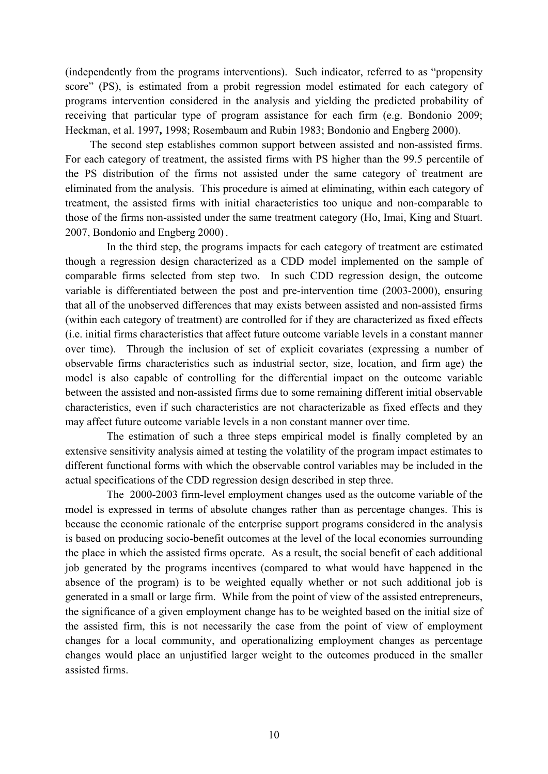(independently from the programs interventions). Such indicator, referred to as "propensity score" (PS), is estimated from a probit regression model estimated for each category of programs intervention considered in the analysis and yielding the predicted probability of receiving that particular type of program assistance for each firm (e.g. Bondonio 2009; Heckman, et al. 1997**,** 1998; Rosembaum and Rubin 1983; Bondonio and Engberg 2000).

 The second step establishes common support between assisted and non-assisted firms. For each category of treatment, the assisted firms with PS higher than the 99.5 percentile of the PS distribution of the firms not assisted under the same category of treatment are eliminated from the analysis. This procedure is aimed at eliminating, within each category of treatment, the assisted firms with initial characteristics too unique and non-comparable to those of the firms non-assisted under the same treatment category (Ho, Imai, King and Stuart. 2007, Bondonio and Engberg 2000).

 In the third step, the programs impacts for each category of treatment are estimated though a regression design characterized as a CDD model implemented on the sample of comparable firms selected from step two. In such CDD regression design, the outcome variable is differentiated between the post and pre-intervention time (2003-2000), ensuring that all of the unobserved differences that may exists between assisted and non-assisted firms (within each category of treatment) are controlled for if they are characterized as fixed effects (i.e. initial firms characteristics that affect future outcome variable levels in a constant manner over time). Through the inclusion of set of explicit covariates (expressing a number of observable firms characteristics such as industrial sector, size, location, and firm age) the model is also capable of controlling for the differential impact on the outcome variable between the assisted and non-assisted firms due to some remaining different initial observable characteristics, even if such characteristics are not characterizable as fixed effects and they may affect future outcome variable levels in a non constant manner over time.

 The estimation of such a three steps empirical model is finally completed by an extensive sensitivity analysis aimed at testing the volatility of the program impact estimates to different functional forms with which the observable control variables may be included in the actual specifications of the CDD regression design described in step three.

 The 2000-2003 firm-level employment changes used as the outcome variable of the model is expressed in terms of absolute changes rather than as percentage changes. This is because the economic rationale of the enterprise support programs considered in the analysis is based on producing socio-benefit outcomes at the level of the local economies surrounding the place in which the assisted firms operate. As a result, the social benefit of each additional job generated by the programs incentives (compared to what would have happened in the absence of the program) is to be weighted equally whether or not such additional job is generated in a small or large firm. While from the point of view of the assisted entrepreneurs, the significance of a given employment change has to be weighted based on the initial size of the assisted firm, this is not necessarily the case from the point of view of employment changes for a local community, and operationalizing employment changes as percentage changes would place an unjustified larger weight to the outcomes produced in the smaller assisted firms.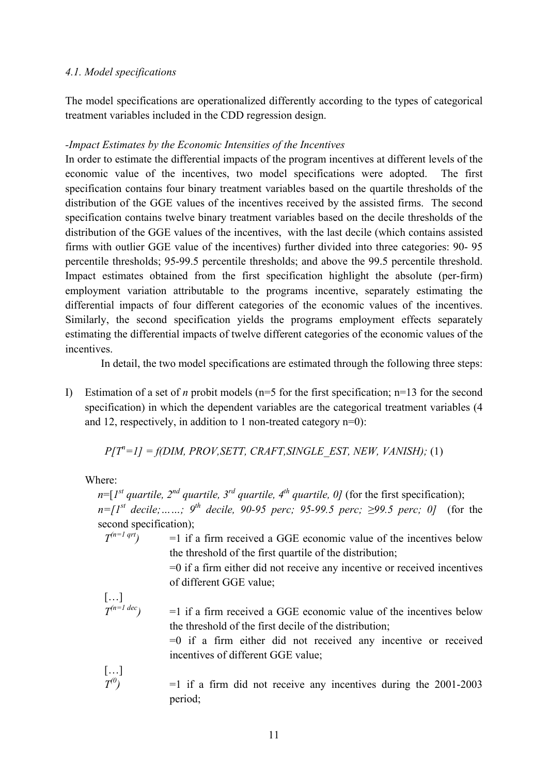## *4.1. Model specifications*

The model specifications are operationalized differently according to the types of categorical treatment variables included in the CDD regression design.

## *-Impact Estimates by the Economic Intensities of the Incentives*

In order to estimate the differential impacts of the program incentives at different levels of the economic value of the incentives, two model specifications were adopted. The first specification contains four binary treatment variables based on the quartile thresholds of the distribution of the GGE values of the incentives received by the assisted firms. The second specification contains twelve binary treatment variables based on the decile thresholds of the distribution of the GGE values of the incentives, with the last decile (which contains assisted firms with outlier GGE value of the incentives) further divided into three categories: 90- 95 percentile thresholds; 95-99.5 percentile thresholds; and above the 99.5 percentile threshold. Impact estimates obtained from the first specification highlight the absolute (per-firm) employment variation attributable to the programs incentive, separately estimating the differential impacts of four different categories of the economic values of the incentives. Similarly, the second specification yields the programs employment effects separately estimating the differential impacts of twelve different categories of the economic values of the incentives.

In detail, the two model specifications are estimated through the following three steps:

I) Estimation of a set of *n* probit models (n=5 for the first specification; n=13 for the second specification) in which the dependent variables are the categorical treatment variables (4 and 12, respectively, in addition to 1 non-treated category n=0):

 $P[T^n=1] = f(DIM, PROV, SETT, CRAFT, SINGLE EST, NEW, VANISH);$  (1)

Where:

 $n=[1<sup>st</sup> quartile, 2<sup>nd</sup> quartile, 3<sup>rd</sup> quartile, 4<sup>th</sup> quartile, 0]$  (for the first specification);  $n = [I^{st}$  decile;……; 9<sup>th</sup> decile, 90-95 perc; 95-99.5 perc; ≥99.5 perc; 0] (for the second specification);

 $T^{(n=1 qrt)}$  =1 if a firm received a GGE economic value of the incentives below the threshold of the first quartile of the distribution;

> =0 if a firm either did not receive any incentive or received incentives of different GGE value;

$$
\left[\ldots\right] \atop T^{(n=1\,dec)}
$$

 $=1$  if a firm received a GGE economic value of the incentives below the threshold of the first decile of the distribution;

=0 if a firm either did not received any incentive or received incentives of different GGE value;

[…]

 $T^{(0)}$  =1 if a firm did not receive any incentives during the 2001-2003 period;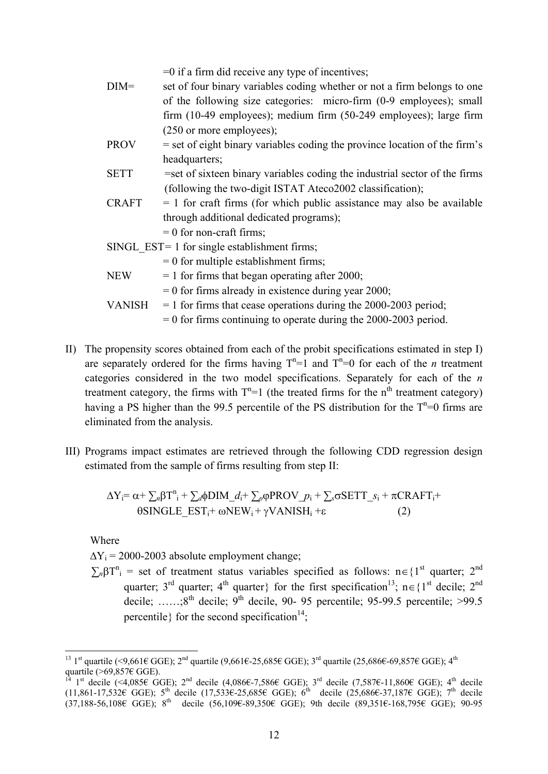- =0 if a firm did receive any type of incentives;
- DIM= set of four binary variables coding whether or not a firm belongs to one of the following size categories: micro-firm (0-9 employees); small firm (10-49 employees); medium firm (50-249 employees); large firm (250 or more employees);
- $PROV = set of eight binary variables coding the province location of the firm's$ headquarters:
- SETT =set of sixteen binary variables coding the industrial sector of the firms (following the two-digit ISTAT Ateco2002 classification);
- $CRAFT = 1$  for craft firms (for which public assistance may also be available through additional dedicated programs);
	- $= 0$  for non-craft firms;
- SINGL EST<sup>= 1</sup> for single establishment firms;  $= 0$  for multiple establishment firms; NEW  $= 1$  for firms that began operating after 2000;  $= 0$  for firms already in existence during year 2000; VANISH  $=$  1 for firms that cease operations during the 2000-2003 period;
	- $= 0$  for firms continuing to operate during the 2000-2003 period.
- II) The propensity scores obtained from each of the probit specifications estimated in step I) are separately ordered for the firms having  $T<sup>n</sup>=1$  and  $T<sup>n</sup>=0$  for each of the *n* treatment categories considered in the two model specifications. Separately for each of the *n*  treatment category, the firms with  $T<sup>n</sup>=1$  (the treated firms for the n<sup>th</sup> treatment category) having a PS higher than the 99.5 percentile of the PS distribution for the  $T<sup>n</sup>=0$  firms are eliminated from the analysis.
- III) Programs impact estimates are retrieved through the following CDD regression design estimated from the sample of firms resulting from step II:

$$
\Delta Y_i = \alpha + \sum_n \beta T^n_i + \sum_d \phi DIM\_d_i + \sum_p \phi PROV\_p_i + \sum_s \sigma SETT\_s_i + \pi CRAFT_i +
$$
  
 
$$
\theta SINGLE\_EST_i + \omega NEW_i + \gamma VANISH_i + \epsilon
$$
 (2)

Where

 $\Delta Y_i = 2000 - 2003$  absolute employment change;

 $\sum_{n} \beta T^{n}$  = set of treatment status variables specified as follows:  $n \in \{1^{\text{st}} \text{ quarter}; 2^{\text{nd}}\}$ quarter; 3<sup>rd</sup> quarter; 4<sup>th</sup> quarter} for the first specification<sup>13</sup>; n 
ightarrow 1<sup>3</sup> decile; 2<sup>nd</sup> decile;  $\ldots$   $8^{th}$  decile;  $9^{th}$  decile, 90- 95 percentile; 95-99.5 percentile; >99.5 percentile for the second specification<sup>14</sup>;

<sup>&</sup>lt;u>.</u> <sup>13</sup> 1<sup>st</sup> quartile (<9,661€ GGE); 2<sup>nd</sup> quartile (9,661€-25,685€ GGE); 3<sup>rd</sup> quartile (25,686€-69,857€ GGE); 4<sup>th</sup> quartile (>69,857 $\notin$  GGE).

<sup>&</sup>lt;sup>14</sup> 1<sup>st</sup> decile (<4,085€ GGE); 2<sup>nd</sup> decile (4,086€-7,586€ GGE); 3<sup>rd</sup> decile (7,587€-11,860€ GGE); 4<sup>th</sup> decile  $(11,861-17,532€ GGE)$ ; 5<sup>th</sup> decile  $(17,533€-25,685€ GGE)$ ; 6<sup>th</sup> decile  $(25,686€-37,187€ GGE)$ ; 7<sup>th</sup> decile  $(37,188-56,108€$  GGE); 8<sup>th</sup> decile  $(56,109€-89,350€$  GGE); 9th decile  $(89,351€-168,795€$  GGE); 90-95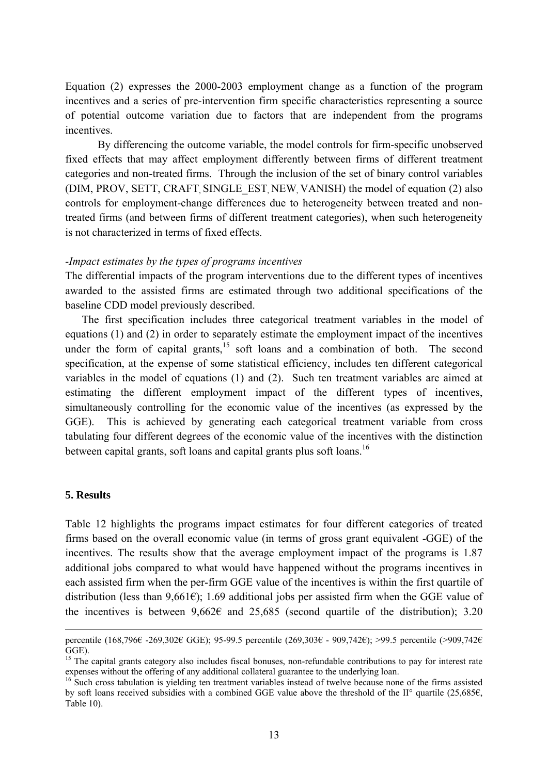Equation (2) expresses the 2000-2003 employment change as a function of the program incentives and a series of pre-intervention firm specific characteristics representing a source of potential outcome variation due to factors that are independent from the programs incentives.

By differencing the outcome variable, the model controls for firm-specific unobserved fixed effects that may affect employment differently between firms of different treatment categories and non-treated firms. Through the inclusion of the set of binary control variables (DIM, PROV, SETT, CRAFT SINGLE EST NEW VANISH) the model of equation (2) also controls for employment-change differences due to heterogeneity between treated and nontreated firms (and between firms of different treatment categories), when such heterogeneity is not characterized in terms of fixed effects.

#### *-Impact estimates by the types of programs incentives*

The differential impacts of the program interventions due to the different types of incentives awarded to the assisted firms are estimated through two additional specifications of the baseline CDD model previously described.

The first specification includes three categorical treatment variables in the model of equations (1) and (2) in order to separately estimate the employment impact of the incentives under the form of capital grants, $15$  soft loans and a combination of both. The second specification, at the expense of some statistical efficiency, includes ten different categorical variables in the model of equations (1) and (2). Such ten treatment variables are aimed at estimating the different employment impact of the different types of incentives, simultaneously controlling for the economic value of the incentives (as expressed by the GGE). This is achieved by generating each categorical treatment variable from cross tabulating four different degrees of the economic value of the incentives with the distinction between capital grants, soft loans and capital grants plus soft loans.<sup>16</sup>

#### **5. Results**

Table 12 highlights the programs impact estimates for four different categories of treated firms based on the overall economic value (in terms of gross grant equivalent -GGE) of the incentives. The results show that the average employment impact of the programs is 1.87 additional jobs compared to what would have happened without the programs incentives in each assisted firm when the per-firm GGE value of the incentives is within the first quartile of distribution (less than 9,661 $\epsilon$ ); 1.69 additional jobs per assisted firm when the GGE value of the incentives is between  $9.662\epsilon$  and  $25.685$  (second quartile of the distribution): 3.20

percentile (168,796€ -269,302€ GGE); 95-99.5 percentile (269,303€ - 909,742€); >99.5 percentile (>909,742€ GGE).

<sup>&</sup>lt;sup>15</sup> The capital grants category also includes fiscal bonuses, non-refundable contributions to pay for interest rate expenses without the offering of any additional collateral guarantee to the underlying loan.

<sup>&</sup>lt;sup>16</sup> Such cross tabulation is yielding ten treatment variables instead of twelve because none of the firms assisted by soft loans received subsidies with a combined GGE value above the threshold of the II° quartile (25,685€, Table 10).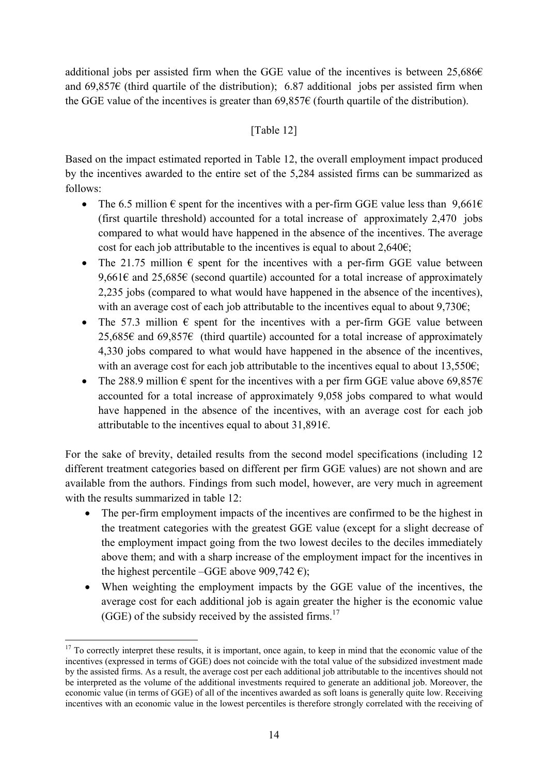additional jobs per assisted firm when the GGE value of the incentives is between  $25,686 \in$ and 69,857 $\epsilon$  (third quartile of the distribution); 6.87 additional jobs per assisted firm when the GGE value of the incentives is greater than  $69,857\epsilon$  (fourth quartile of the distribution).

## [Table 12]

Based on the impact estimated reported in Table 12, the overall employment impact produced by the incentives awarded to the entire set of the 5,284 assisted firms can be summarized as follows:

- The 6.5 million  $\epsilon$  spent for the incentives with a per-firm GGE value less than 9.661 $\epsilon$ (first quartile threshold) accounted for a total increase of approximately 2,470 jobs compared to what would have happened in the absence of the incentives. The average cost for each job attributable to the incentives is equal to about  $2,640\epsilon$ ;
- The 21.75 million  $\epsilon$  spent for the incentives with a per-firm GGE value between 9,661 $\epsilon$  and 25,685 $\epsilon$  (second quartile) accounted for a total increase of approximately 2,235 jobs (compared to what would have happened in the absence of the incentives), with an average cost of each job attributable to the incentives equal to about  $9.730\epsilon$ ;
- The 57.3 million  $\epsilon$  spent for the incentives with a per-firm GGE value between 25,685€ and 69,857€ (third quartile) accounted for a total increase of approximately 4,330 jobs compared to what would have happened in the absence of the incentives, with an average cost for each job attributable to the incentives equal to about  $13,550\epsilon$ ;
- The 288.9 million  $\epsilon$  spent for the incentives with a per firm GGE value above 69.857 $\epsilon$ accounted for a total increase of approximately 9,058 jobs compared to what would have happened in the absence of the incentives, with an average cost for each job attributable to the incentives equal to about  $31,891$ €.

For the sake of brevity, detailed results from the second model specifications (including 12 different treatment categories based on different per firm GGE values) are not shown and are available from the authors. Findings from such model, however, are very much in agreement with the results summarized in table 12:

- The per-firm employment impacts of the incentives are confirmed to be the highest in the treatment categories with the greatest GGE value (except for a slight decrease of the employment impact going from the two lowest deciles to the deciles immediately above them; and with a sharp increase of the employment impact for the incentives in the highest percentile –GGE above 909,742  $\epsilon$ );
- When weighting the employment impacts by the GGE value of the incentives, the average cost for each additional job is again greater the higher is the economic value  $(GGE)$  of the subsidy received by the assisted firms.<sup>17</sup>

1

 $17$  To correctly interpret these results, it is important, once again, to keep in mind that the economic value of the incentives (expressed in terms of GGE) does not coincide with the total value of the subsidized investment made by the assisted firms. As a result, the average cost per each additional job attributable to the incentives should not be interpreted as the volume of the additional investments required to generate an additional job. Moreover, the economic value (in terms of GGE) of all of the incentives awarded as soft loans is generally quite low. Receiving incentives with an economic value in the lowest percentiles is therefore strongly correlated with the receiving of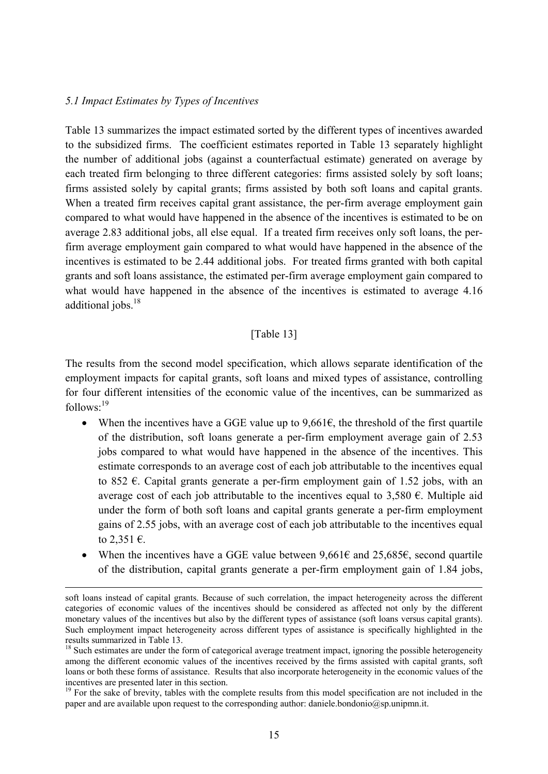## *5.1 Impact Estimates by Types of Incentives*

Table 13 summarizes the impact estimated sorted by the different types of incentives awarded to the subsidized firms. The coefficient estimates reported in Table 13 separately highlight the number of additional jobs (against a counterfactual estimate) generated on average by each treated firm belonging to three different categories: firms assisted solely by soft loans; firms assisted solely by capital grants; firms assisted by both soft loans and capital grants. When a treated firm receives capital grant assistance, the per-firm average employment gain compared to what would have happened in the absence of the incentives is estimated to be on average 2.83 additional jobs, all else equal. If a treated firm receives only soft loans, the perfirm average employment gain compared to what would have happened in the absence of the incentives is estimated to be 2.44 additional jobs. For treated firms granted with both capital grants and soft loans assistance, the estimated per-firm average employment gain compared to what would have happened in the absence of the incentives is estimated to average 4.16 additional jobs.<sup>18</sup>

## [Table 13]

The results from the second model specification, which allows separate identification of the employment impacts for capital grants, soft loans and mixed types of assistance, controlling for four different intensities of the economic value of the incentives, can be summarized as  $follows: <sup>19</sup>$ 

- When the incentives have a GGE value up to  $9.661\epsilon$ , the threshold of the first quartile of the distribution, soft loans generate a per-firm employment average gain of 2.53 jobs compared to what would have happened in the absence of the incentives. This estimate corresponds to an average cost of each job attributable to the incentives equal to 852  $\epsilon$ . Capital grants generate a per-firm employment gain of 1.52 jobs, with an average cost of each job attributable to the incentives equal to 3,580  $\epsilon$ . Multiple aid under the form of both soft loans and capital grants generate a per-firm employment gains of 2.55 jobs, with an average cost of each job attributable to the incentives equal to  $2,351 \in$ .
- When the incentives have a GGE value between  $9,661\epsilon$  and  $25,685\epsilon$ , second quartile of the distribution, capital grants generate a per-firm employment gain of 1.84 jobs,

soft loans instead of capital grants. Because of such correlation, the impact heterogeneity across the different categories of economic values of the incentives should be considered as affected not only by the different monetary values of the incentives but also by the different types of assistance (soft loans versus capital grants). Such employment impact heterogeneity across different types of assistance is specifically highlighted in the results summarized in Table 13.

<sup>&</sup>lt;sup>18</sup> Such estimates are under the form of categorical average treatment impact, ignoring the possible heterogeneity among the different economic values of the incentives received by the firms assisted with capital grants, soft loans or both these forms of assistance. Results that also incorporate heterogeneity in the economic values of the incentives are presented later in this section.

 $19$  For the sake of brevity, tables with the complete results from this model specification are not included in the paper and are available upon request to the corresponding author: daniele.bondonio@sp.unipmn.it.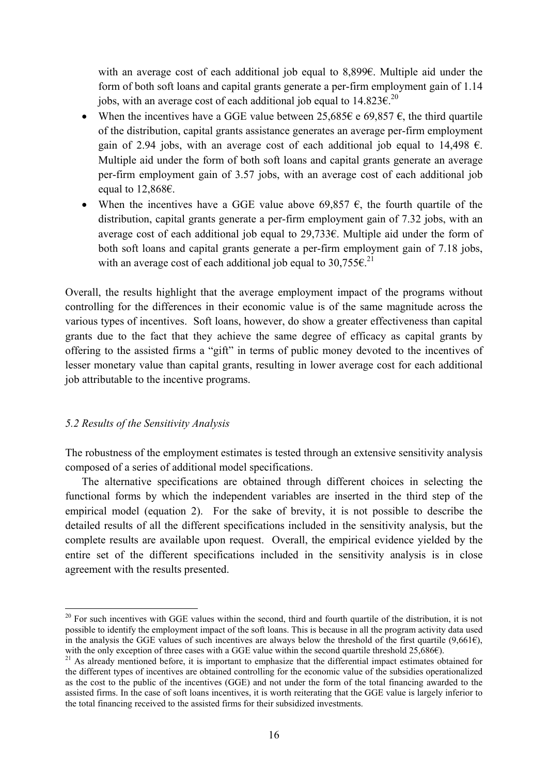with an average cost of each additional job equal to 8,899€. Multiple aid under the form of both soft loans and capital grants generate a per-firm employment gain of 1.14 jobs, with an average cost of each additional job equal to  $14.823 \epsilon^{20}$ .

- When the incentives have a GGE value between 25,685 $\epsilon$  e 69,857 $\epsilon$ , the third quartile of the distribution, capital grants assistance generates an average per-firm employment gain of 2.94 jobs, with an average cost of each additional job equal to 14,498  $\epsilon$ . Multiple aid under the form of both soft loans and capital grants generate an average per-firm employment gain of 3.57 jobs, with an average cost of each additional job equal to 12,868€.
- When the incentives have a GGE value above 69,857  $\epsilon$ , the fourth quartile of the distribution, capital grants generate a per-firm employment gain of 7.32 jobs, with an average cost of each additional job equal to 29,733€. Multiple aid under the form of both soft loans and capital grants generate a per-firm employment gain of 7.18 jobs, with an average cost of each additional job equal to 30.755 $\varepsilon$ <sup>21</sup>

Overall, the results highlight that the average employment impact of the programs without controlling for the differences in their economic value is of the same magnitude across the various types of incentives. Soft loans, however, do show a greater effectiveness than capital grants due to the fact that they achieve the same degree of efficacy as capital grants by offering to the assisted firms a "gift" in terms of public money devoted to the incentives of lesser monetary value than capital grants, resulting in lower average cost for each additional job attributable to the incentive programs.

## *5.2 Results of the Sensitivity Analysis*

1

The robustness of the employment estimates is tested through an extensive sensitivity analysis composed of a series of additional model specifications.

 The alternative specifications are obtained through different choices in selecting the functional forms by which the independent variables are inserted in the third step of the empirical model (equation 2). For the sake of brevity, it is not possible to describe the detailed results of all the different specifications included in the sensitivity analysis, but the complete results are available upon request. Overall, the empirical evidence yielded by the entire set of the different specifications included in the sensitivity analysis is in close agreement with the results presented.

 $20$  For such incentives with GGE values within the second, third and fourth quartile of the distribution, it is not possible to identify the employment impact of the soft loans. This is because in all the program activity data used in the analysis the GGE values of such incentives are always below the threshold of the first quartile (9,661€), with the only exception of three cases with a GGE value within the second quartile threshold 25,686€).<br><sup>21</sup> As already mentioned before, it is important to emphasize that the differential impact estimates obtained for

the different types of incentives are obtained controlling for the economic value of the subsidies operationalized as the cost to the public of the incentives (GGE) and not under the form of the total financing awarded to the assisted firms. In the case of soft loans incentives, it is worth reiterating that the GGE value is largely inferior to the total financing received to the assisted firms for their subsidized investments.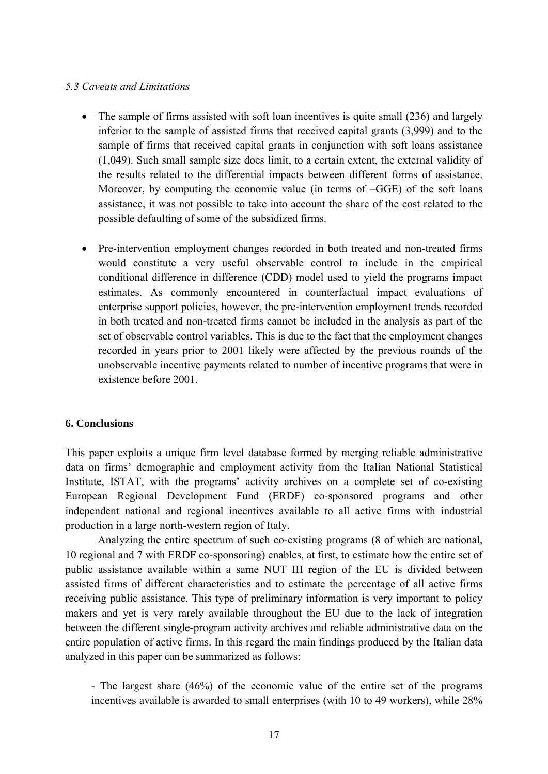## *5.3 Caveats and Limitations*

- The sample of firms assisted with soft loan incentives is quite small (236) and largely inferior to the sample of assisted firms that received capital grants (3,999) and to the sample of firms that received capital grants in conjunction with soft loans assistance (1,049). Such small sample size does limit, to a certain extent, the external validity of the results related to the differential impacts between different forms of assistance. Moreover, by computing the economic value (in terms of –GGE) of the soft loans assistance, it was not possible to take into account the share of the cost related to the possible defaulting of some of the subsidized firms.
- Pre-intervention employment changes recorded in both treated and non-treated firms would constitute a very useful observable control to include in the empirical conditional difference in difference (CDD) model used to yield the programs impact estimates. As commonly encountered in counterfactual impact evaluations of enterprise support policies, however, the pre-intervention employment trends recorded in both treated and non-treated firms cannot be included in the analysis as part of the set of observable control variables. This is due to the fact that the employment changes recorded in years prior to 2001 likely were affected by the previous rounds of the unobservable incentive payments related to number of incentive programs that were in existence before 2001.

## **6. Conclusions**

This paper exploits a unique firm level database formed by merging reliable administrative data on firms' demographic and employment activity from the Italian National Statistical Institute, ISTAT, with the programs' activity archives on a complete set of co-existing European Regional Development Fund (ERDF) co-sponsored programs and other independent national and regional incentives available to all active firms with industrial production in a large north-western region of Italy.

Analyzing the entire spectrum of such co-existing programs (8 of which are national, 10 regional and 7 with ERDF co-sponsoring) enables, at first, to estimate how the entire set of public assistance available within a same NUT III region of the EU is divided between assisted firms of different characteristics and to estimate the percentage of all active firms receiving public assistance. This type of preliminary information is very important to policy makers and yet is very rarely available throughout the EU due to the lack of integration between the different single-program activity archives and reliable administrative data on the entire population of active firms. In this regard the main findings produced by the Italian data analyzed in this paper can be summarized as follows:

- The largest share (46%) of the economic value of the entire set of the programs incentives available is awarded to small enterprises (with 10 to 49 workers), while 28%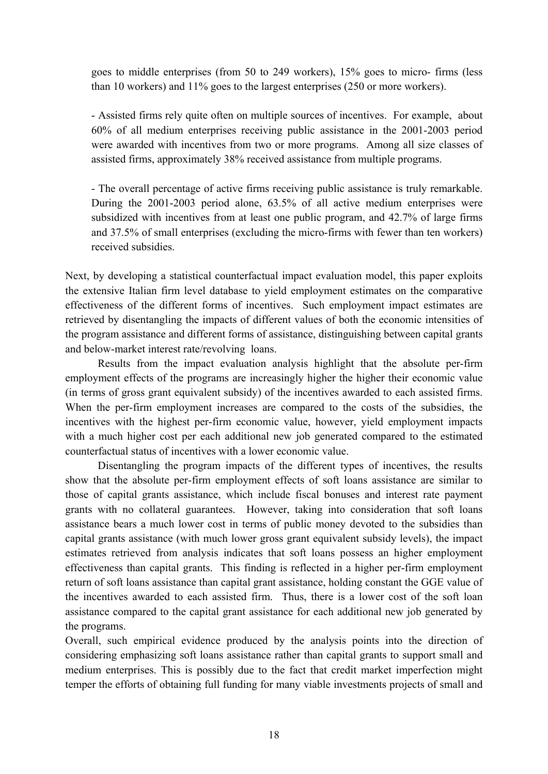goes to middle enterprises (from 50 to 249 workers), 15% goes to micro- firms (less than 10 workers) and 11% goes to the largest enterprises (250 or more workers).

- Assisted firms rely quite often on multiple sources of incentives. For example, about 60% of all medium enterprises receiving public assistance in the 2001-2003 period were awarded with incentives from two or more programs. Among all size classes of assisted firms, approximately 38% received assistance from multiple programs.

- The overall percentage of active firms receiving public assistance is truly remarkable. During the 2001-2003 period alone, 63.5% of all active medium enterprises were subsidized with incentives from at least one public program, and 42.7% of large firms and 37.5% of small enterprises (excluding the micro-firms with fewer than ten workers) received subsidies.

Next, by developing a statistical counterfactual impact evaluation model, this paper exploits the extensive Italian firm level database to yield employment estimates on the comparative effectiveness of the different forms of incentives. Such employment impact estimates are retrieved by disentangling the impacts of different values of both the economic intensities of the program assistance and different forms of assistance, distinguishing between capital grants and below-market interest rate/revolving loans.

Results from the impact evaluation analysis highlight that the absolute per-firm employment effects of the programs are increasingly higher the higher their economic value (in terms of gross grant equivalent subsidy) of the incentives awarded to each assisted firms. When the per-firm employment increases are compared to the costs of the subsidies, the incentives with the highest per-firm economic value, however, yield employment impacts with a much higher cost per each additional new job generated compared to the estimated counterfactual status of incentives with a lower economic value.

Disentangling the program impacts of the different types of incentives, the results show that the absolute per-firm employment effects of soft loans assistance are similar to those of capital grants assistance, which include fiscal bonuses and interest rate payment grants with no collateral guarantees. However, taking into consideration that soft loans assistance bears a much lower cost in terms of public money devoted to the subsidies than capital grants assistance (with much lower gross grant equivalent subsidy levels), the impact estimates retrieved from analysis indicates that soft loans possess an higher employment effectiveness than capital grants. This finding is reflected in a higher per-firm employment return of soft loans assistance than capital grant assistance, holding constant the GGE value of the incentives awarded to each assisted firm. Thus, there is a lower cost of the soft loan assistance compared to the capital grant assistance for each additional new job generated by the programs.

Overall, such empirical evidence produced by the analysis points into the direction of considering emphasizing soft loans assistance rather than capital grants to support small and medium enterprises. This is possibly due to the fact that credit market imperfection might temper the efforts of obtaining full funding for many viable investments projects of small and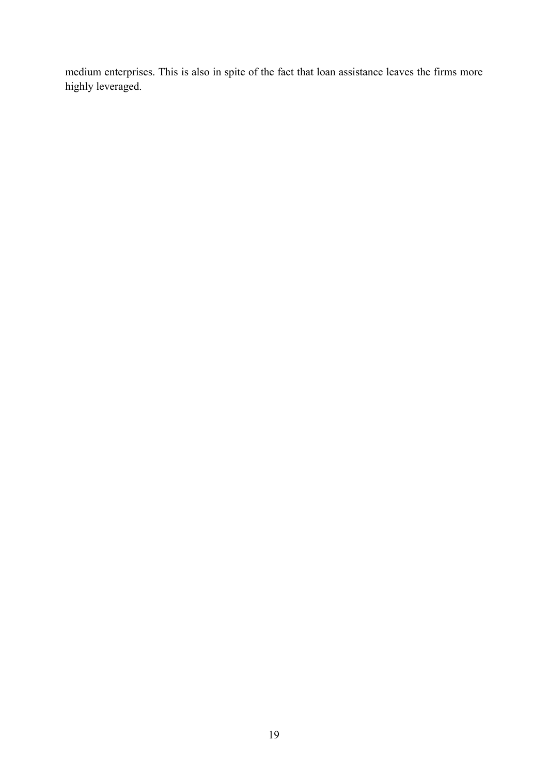medium enterprises. This is also in spite of the fact that loan assistance leaves the firms more highly leveraged.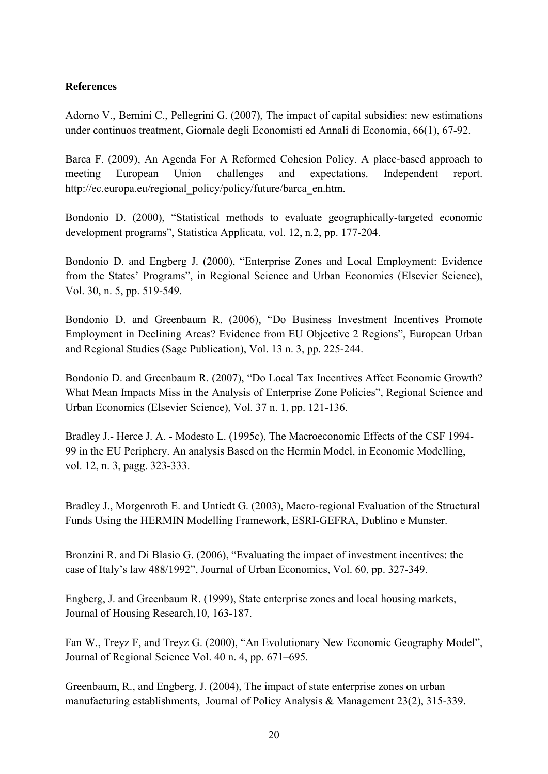## **References**

Adorno V., Bernini C., Pellegrini G. (2007), The impact of capital subsidies: new estimations under continuos treatment, Giornale degli Economisti ed Annali di Economia, 66(1), 67-92.

Barca F. (2009), An Agenda For A Reformed Cohesion Policy. A place-based approach to meeting European Union challenges and expectations. Independent report. http://ec.europa.eu/regional\_policy/policy/future/barca\_en.htm.

Bondonio D. (2000), "Statistical methods to evaluate geographically-targeted economic development programs", Statistica Applicata, vol. 12, n.2, pp. 177-204.

Bondonio D. and Engberg J. (2000), "Enterprise Zones and Local Employment: Evidence from the States' Programs", in Regional Science and Urban Economics (Elsevier Science), Vol. 30, n. 5, pp. 519-549.

Bondonio D. and Greenbaum R. (2006), "Do Business Investment Incentives Promote Employment in Declining Areas? Evidence from EU Objective 2 Regions", European Urban and Regional Studies (Sage Publication), Vol. 13 n. 3, pp. 225-244.

Bondonio D. and Greenbaum R. (2007), "Do Local Tax Incentives Affect Economic Growth? What Mean Impacts Miss in the Analysis of Enterprise Zone Policies", Regional Science and Urban Economics (Elsevier Science), Vol. 37 n. 1, pp. 121-136.

Bradley J.- Herce J. A. - Modesto L. (1995c), The Macroeconomic Effects of the CSF 1994- 99 in the EU Periphery. An analysis Based on the Hermin Model, in Economic Modelling, vol. 12, n. 3, pagg. 323-333.

Bradley J., Morgenroth E. and Untiedt G. (2003), Macro-regional Evaluation of the Structural Funds Using the HERMIN Modelling Framework, ESRI-GEFRA, Dublino e Munster.

Bronzini R. and Di Blasio G. (2006), "Evaluating the impact of investment incentives: the case of Italy's law 488/1992", Journal of Urban Economics, Vol. 60, pp. 327-349.

Engberg, J. and Greenbaum R. (1999), State enterprise zones and local housing markets, Journal of Housing Research,10, 163-187.

Fan W., Treyz F, and Treyz G. (2000), "An Evolutionary New Economic Geography Model", Journal of Regional Science Vol. 40 n. 4, pp. 671–695.

Greenbaum, R., and Engberg, J. (2004), The impact of state enterprise zones on urban manufacturing establishments, Journal of Policy Analysis & Management 23(2), 315-339.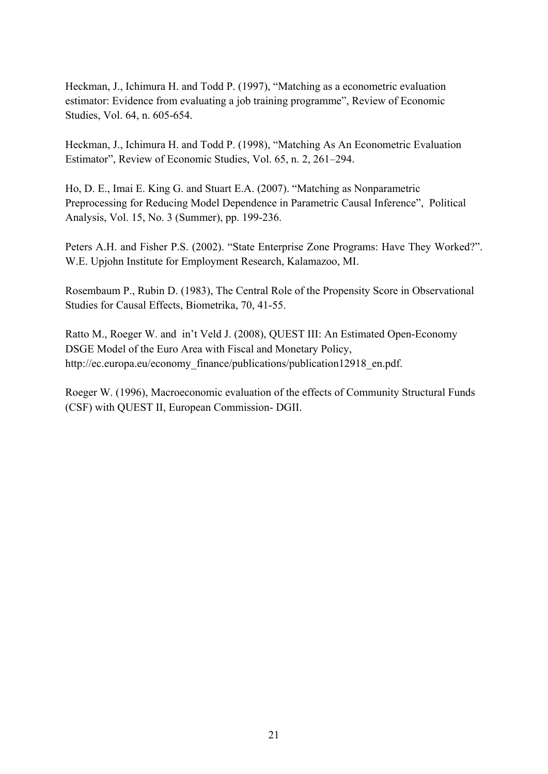Heckman, J., Ichimura H. and Todd P. (1997), "Matching as a econometric evaluation estimator: Evidence from evaluating a job training programme", Review of Economic Studies, Vol. 64, n. 605-654.

Heckman, J., Ichimura H. and Todd P. (1998), "Matching As An Econometric Evaluation Estimator", Review of Economic Studies, Vol. 65, n. 2, 261–294.

Ho, D. E., Imai E. King G. and Stuart E.A. (2007). "Matching as Nonparametric Preprocessing for Reducing Model Dependence in Parametric Causal Inference", Political Analysis, Vol. 15, No. 3 (Summer), pp. 199-236.

Peters A.H. and Fisher P.S. (2002). "State Enterprise Zone Programs: Have They Worked?". W.E. Upjohn Institute for Employment Research, Kalamazoo, MI.

Rosembaum P., Rubin D. (1983), The Central Role of the Propensity Score in Observational Studies for Causal Effects, Biometrika, 70, 41-55.

Ratto M., Roeger W. and in't Veld J. (2008), QUEST III: An Estimated Open-Economy DSGE Model of the Euro Area with Fiscal and Monetary Policy, http://ec.europa.eu/economy\_finance/publications/publication12918\_en.pdf.

Roeger W. (1996), Macroeconomic evaluation of the effects of Community Structural Funds (CSF) with QUEST II, European Commission- DGII.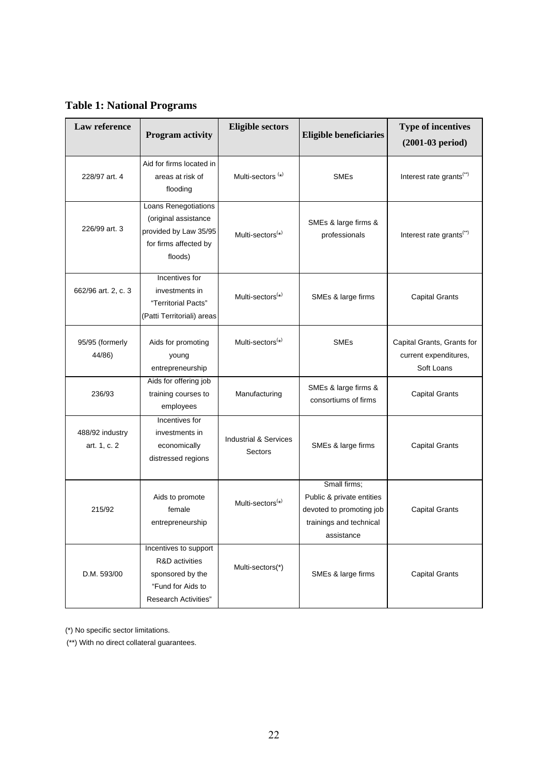<span id="page-21-0"></span>**Table 1: National Programs** 

| Law reference                   | <b>Program activity</b>                                                                                         | <b>Eligible sectors</b>                     | <b>Eligible beneficiaries</b>                                                                                  | <b>Type of incentives</b><br>$(2001-03$ period)                   |
|---------------------------------|-----------------------------------------------------------------------------------------------------------------|---------------------------------------------|----------------------------------------------------------------------------------------------------------------|-------------------------------------------------------------------|
| 228/97 art. 4                   | Aid for firms located in<br>areas at risk of<br>flooding                                                        | Multi-sectors <sup>(*)</sup>                | <b>SMEs</b>                                                                                                    | Interest rate grants <sup>(**)</sup>                              |
| 226/99 art. 3                   | Loans Renegotiations<br>(original assistance<br>provided by Law 35/95<br>for firms affected by<br>floods)       | Multi-sectors <sup>(*)</sup>                | SMEs & large firms &<br>professionals                                                                          | Interest rate grants <sup>(**)</sup>                              |
| 662/96 art. 2, c. 3             | Incentives for<br>investments in<br>"Territorial Pacts"<br>(Patti Territoriali) areas                           | Multi-sectors <sup>(*)</sup>                | SMEs & large firms                                                                                             | <b>Capital Grants</b>                                             |
| 95/95 (formerly<br>44/86)       | Aids for promoting<br>young<br>entrepreneurship                                                                 | Multi-sectors $(*)$                         | <b>SMEs</b>                                                                                                    | Capital Grants, Grants for<br>current expenditures,<br>Soft Loans |
| 236/93                          | Aids for offering job<br>training courses to<br>employees                                                       | Manufacturing                               | SMEs & large firms &<br>consortiums of firms                                                                   | <b>Capital Grants</b>                                             |
| 488/92 industry<br>art. 1, c. 2 | Incentives for<br>investments in<br>economically<br>distressed regions                                          | <b>Industrial &amp; Services</b><br>Sectors | SMEs & large firms                                                                                             | <b>Capital Grants</b>                                             |
| 215/92                          | Aids to promote<br>female<br>entrepreneurship                                                                   | Multi-sectors <sup>(*)</sup>                | Small firms;<br>Public & private entities<br>devoted to promoting job<br>trainings and technical<br>assistance | <b>Capital Grants</b>                                             |
| D.M. 593/00                     | Incentives to support<br>R&D activities<br>sponsored by the<br>"Fund for Aids to<br><b>Research Activities"</b> | Multi-sectors(*)                            | SMEs & large firms                                                                                             | <b>Capital Grants</b>                                             |

(\*) No specific sector limitations.

(\*\*) With no direct collateral guarantees.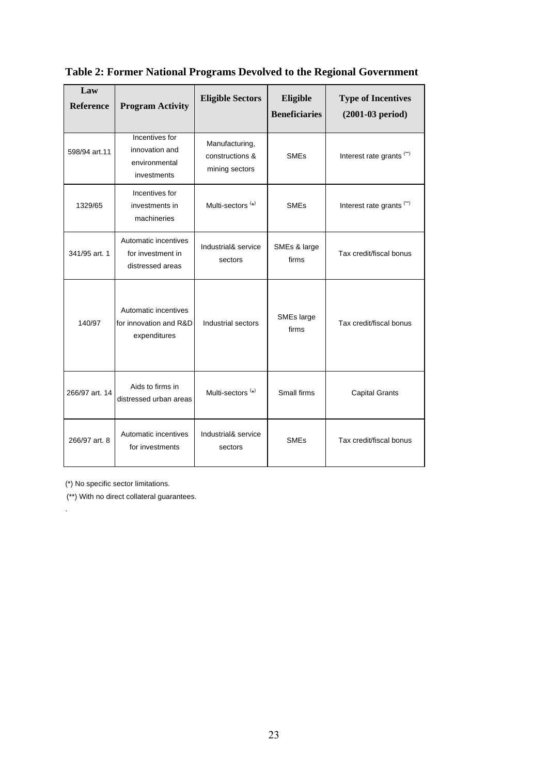| Law<br><b>Reference</b> | <b>Program Activity</b>                                          | <b>Eligible Sectors</b>                             | Eligible<br><b>Beneficiaries</b> | <b>Type of Incentives</b><br>$(2001-03$ period) |
|-------------------------|------------------------------------------------------------------|-----------------------------------------------------|----------------------------------|-------------------------------------------------|
| 598/94 art.11           | Incentives for<br>innovation and<br>environmental<br>investments | Manufacturing,<br>constructions &<br>mining sectors | <b>SME<sub>s</sub></b>           | Interest rate grants <sup>(**)</sup>            |
| 1329/65                 | Incentives for<br>investments in<br>machineries                  | Multi-sectors <sup>(*)</sup>                        | <b>SMEs</b>                      | Interest rate grants <sup>(**)</sup>            |
| 341/95 art. 1           | Automatic incentives<br>for investment in<br>distressed areas    | Industrial& service<br>sectors                      | SMEs & large<br>firms            | Tax credit/fiscal bonus                         |
| 140/97                  | Automatic incentives<br>for innovation and R&D<br>expenditures   | Industrial sectors                                  | SMEs large<br>firms              | Tax credit/fiscal bonus                         |
| 266/97 art. 14          | Aids to firms in<br>distressed urban areas                       | Multi-sectors <sup>(*)</sup>                        | Small firms                      | <b>Capital Grants</b>                           |
| 266/97 art. 8           | Automatic incentives<br>for investments                          | Industrial& service<br>sectors                      | <b>SMEs</b>                      | Tax credit/fiscal bonus                         |

## **Table 2: Former National Programs Devolved to the Regional Government**

(\*) No specific sector limitations.

.

(\*\*) With no direct collateral guarantees.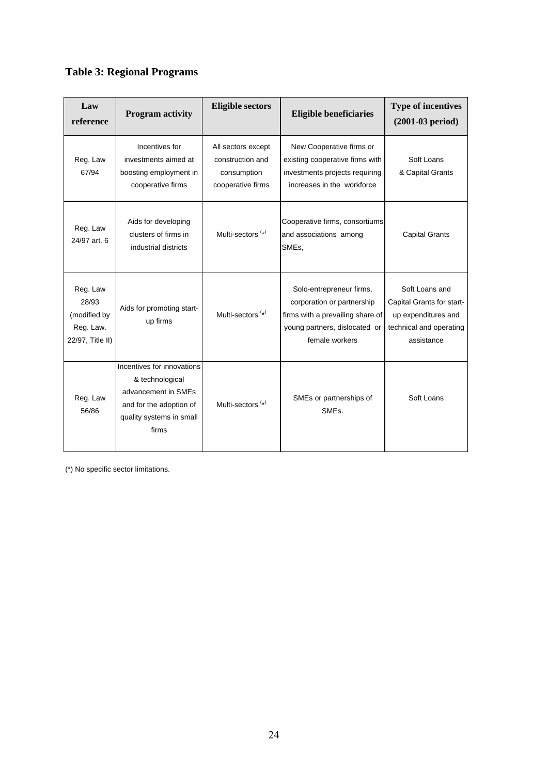## **Table 3: Regional Programs**

| Law<br>reference                                                   | <b>Program activity</b>                                                                                                              | <b>Eligible sectors</b>                                                    | <b>Eligible beneficiaries</b>                                                                                                                 | <b>Type of incentives</b><br>$(2001-03$ period)                                                             |
|--------------------------------------------------------------------|--------------------------------------------------------------------------------------------------------------------------------------|----------------------------------------------------------------------------|-----------------------------------------------------------------------------------------------------------------------------------------------|-------------------------------------------------------------------------------------------------------------|
| Reg. Law<br>67/94                                                  | Incentives for<br>investments aimed at<br>boosting employment in<br>cooperative firms                                                | All sectors except<br>construction and<br>consumption<br>cooperative firms | New Cooperative firms or<br>existing cooperative firms with<br>investments projects requiring<br>increases in the workforce                   | Soft Loans<br>& Capital Grants                                                                              |
| Reg. Law<br>24/97 art. 6                                           | Aids for developing<br>clusters of firms in<br>industrial districts                                                                  | Multi-sectors <sup>(*)</sup>                                               | Cooperative firms, consortiums<br>and associations among<br>SME <sub>s</sub> ,                                                                | <b>Capital Grants</b>                                                                                       |
| Reg. Law<br>28/93<br>(modified by<br>Reg. Law.<br>22/97, Title II) | Aids for promoting start-<br>up firms                                                                                                | Multi-sectors <sup>(*)</sup>                                               | Solo-entrepreneur firms,<br>corporation or partnership<br>firms with a prevailing share of<br>young partners, dislocated or<br>female workers | Soft Loans and<br>Capital Grants for start-<br>up expenditures and<br>technical and operating<br>assistance |
| Reg. Law<br>56/86                                                  | Incentives for innovations<br>& technological<br>advancement in SMEs<br>and for the adoption of<br>quality systems in small<br>firms | Multi-sectors <sup>(*)</sup>                                               | SMEs or partnerships of<br>SME <sub>s</sub> .                                                                                                 | Soft Loans                                                                                                  |

(\*) No specific sector limitations.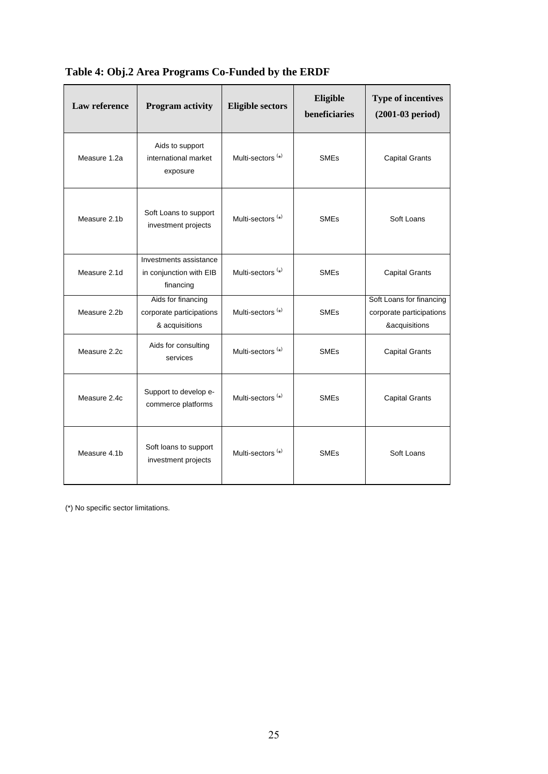| <b>Law reference</b> | <b>Program activity</b>                                          | <b>Eligible sectors</b>      | Eligible<br>beneficiaries | <b>Type of incentives</b><br>$(2001-03$ period)                       |
|----------------------|------------------------------------------------------------------|------------------------------|---------------------------|-----------------------------------------------------------------------|
| Measure 1.2a         | Aids to support<br>international market<br>exposure              | Multi-sectors <sup>(*)</sup> | <b>SMEs</b>               | <b>Capital Grants</b>                                                 |
| Measure 2.1b         | Soft Loans to support<br>investment projects                     | Multi-sectors <sup>(*)</sup> | <b>SME<sub>s</sub></b>    | Soft Loans                                                            |
| Measure 2.1d         | Investments assistance<br>in conjunction with EIB<br>financing   | Multi-sectors <sup>(*)</sup> | <b>SME<sub>s</sub></b>    | <b>Capital Grants</b>                                                 |
| Measure 2.2b         | Aids for financing<br>corporate participations<br>& acquisitions | Multi-sectors <sup>(*)</sup> | <b>SME<sub>s</sub></b>    | Soft Loans for financing<br>corporate participations<br>&acquisitions |
| Measure 2.2c         | Aids for consulting<br>services                                  | Multi-sectors <sup>(*)</sup> | <b>SME<sub>s</sub></b>    | <b>Capital Grants</b>                                                 |
| Measure 2.4c         | Support to develop e-<br>commerce platforms                      | Multi-sectors <sup>(*)</sup> | <b>SME<sub>s</sub></b>    | <b>Capital Grants</b>                                                 |
| Measure 4.1b         | Soft loans to support<br>investment projects                     | Multi-sectors <sup>(*)</sup> | <b>SME<sub>s</sub></b>    | Soft Loans                                                            |

**Table 4: Obj.2 Area Programs Co-Funded by the ERDF** 

(\*) No specific sector limitations.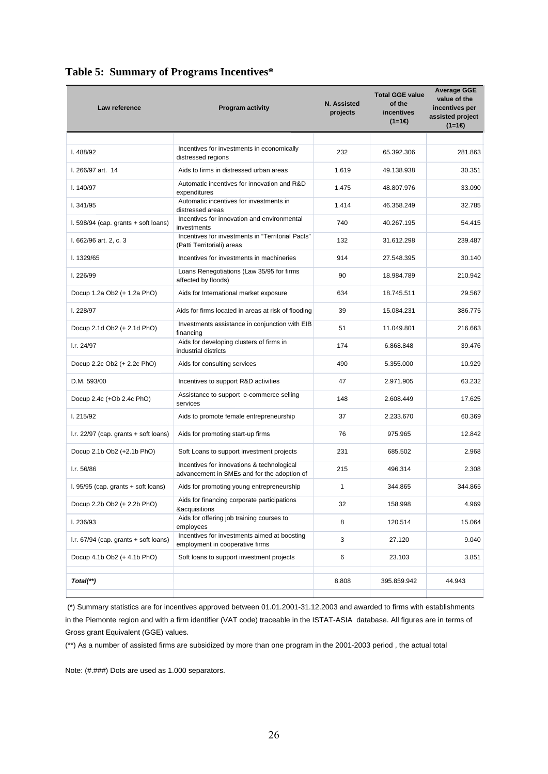| Law reference                             | <b>Program activity</b>                                                                   | N. Assisted<br>projects | <b>Total GGE value</b><br>of the<br>incentives<br>(1=1€) | <b>Average GGE</b><br>value of the<br>incentives per<br>assisted project<br>$(1=1)$ |
|-------------------------------------------|-------------------------------------------------------------------------------------------|-------------------------|----------------------------------------------------------|-------------------------------------------------------------------------------------|
|                                           |                                                                                           |                         |                                                          |                                                                                     |
| 1.488/92                                  | Incentives for investments in economically<br>distressed regions                          | 232                     | 65.392.306                                               | 281.863                                                                             |
| I. 266/97 art. 14                         | Aids to firms in distressed urban areas                                                   | 1.619                   | 49.138.938                                               | 30.351                                                                              |
| 1.140/97                                  | Automatic incentives for innovation and R&D<br>expenditures                               | 1.475                   | 48.807.976                                               | 33.090                                                                              |
| 1.341/95                                  | Automatic incentives for investments in<br>distressed areas                               | 1.414                   | 46.358.249                                               | 32.785                                                                              |
| $1.598/94$ (cap. grants $+$ soft loans)   | Incentives for innovation and environmental<br>investments                                | 740                     | 40.267.195                                               | 54.415                                                                              |
| I. 662/96 art. 2, c. 3                    | Incentives for investments in "Territorial Pacts"<br>(Patti Territoriali) areas           | 132                     | 31.612.298                                               | 239.487                                                                             |
| I. 1329/65                                | Incentives for investments in machineries                                                 | 914                     | 27.548.395                                               | 30.140                                                                              |
| 1.226/99                                  | Loans Renegotiations (Law 35/95 for firms<br>affected by floods)                          | 90                      | 18.984.789                                               | 210.942                                                                             |
| Docup 1.2a Ob2 (+ 1.2a PhO)               | Aids for International market exposure                                                    | 634                     | 18.745.511                                               | 29.567                                                                              |
| 1.228/97                                  | Aids for firms located in areas at risk of flooding                                       | 39                      | 15.084.231                                               | 386.775                                                                             |
| Docup 2.1d Ob2 (+ 2.1d PhO)               | Investments assistance in conjunction with EIB<br>financing                               | 51                      | 11.049.801                                               | 216.663                                                                             |
| I.r. 24/97                                | Aids for developing clusters of firms in<br>industrial districts                          | 174                     | 6.868.848                                                | 39.476                                                                              |
| Docup 2.2c Ob2 (+ 2.2c PhO)               | Aids for consulting services                                                              | 490                     | 5.355.000                                                | 10.929                                                                              |
| D.M. 593/00                               | Incentives to support R&D activities                                                      | 47                      | 2.971.905                                                | 63.232                                                                              |
| Docup 2.4c (+Ob 2.4c PhO)                 | Assistance to support e-commerce selling<br>services                                      | 148                     | 2.608.449                                                | 17.625                                                                              |
| 1.215/92                                  | Aids to promote female entrepreneurship                                                   | 37                      | 2.233.670                                                | 60.369                                                                              |
| $I.r. 22/97$ (cap. grants $+$ soft loans) | Aids for promoting start-up firms                                                         | 76                      | 975.965                                                  | 12.842                                                                              |
| Docup 2.1b Ob2 (+2.1b PhO)                | Soft Loans to support investment projects                                                 | 231                     | 685.502                                                  | 2.968                                                                               |
| I.r. 56/86                                | Incentives for innovations & technological<br>advancement in SMEs and for the adoption of | 215                     | 496.314                                                  | 2.308                                                                               |
| $1.95/95$ (cap. grants $+$ soft loans)    | Aids for promoting young entrepreneurship                                                 | $\mathbf{1}$            | 344.865                                                  | 344.865                                                                             |
| Docup 2.2b Ob2 (+ 2.2b PhO)               | Aids for financing corporate participations<br>&acquisitions                              | 32                      | 158.998                                                  | 4.969                                                                               |
| I. 236/93                                 | Aids for offering job training courses to<br>employees                                    | 8                       | 120.514                                                  | 15.064                                                                              |
| $I.r. 67/94$ (cap. grants $+$ soft loans) | Incentives for investments aimed at boosting<br>employment in cooperative firms           | 3                       | 27.120                                                   | 9.040                                                                               |
| Docup 4.1b Ob2 (+ 4.1b PhO)               | Soft loans to support investment projects                                                 | 6                       | 23.103                                                   | 3.851                                                                               |
| Total(**)                                 |                                                                                           | 8.808                   | 395.859.942                                              | 44.943                                                                              |

## <span id="page-25-0"></span>**Table 5: Summary of Programs Incentives\***

 (\*) Summary statistics are for incentives approved between 01.01.2001-31.12.2003 and awarded to firms with establishments in the Piemonte region and with a firm identifier (VAT code) traceable in the ISTAT-ASIA database. All figures are in terms of Gross grant Equivalent (GGE) values.

(\*\*) As a number of assisted firms are subsidized by more than one program in the 2001-2003 period , the actual total

Note: (#.###) Dots are used as 1.000 separators.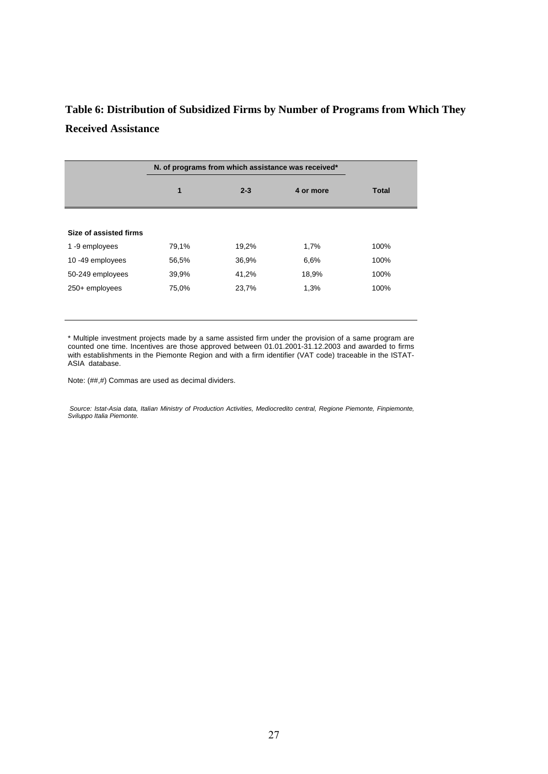## <span id="page-26-0"></span>**Table 6: Distribution of Subsidized Firms by Number of Programs from Which They Received Assistance**

|                        |       | N. of programs from which assistance was received* |           |       |
|------------------------|-------|----------------------------------------------------|-----------|-------|
|                        | 1     | $2 - 3$                                            | 4 or more | Total |
|                        |       |                                                    |           |       |
| Size of assisted firms |       |                                                    |           |       |
| 1-9 employees          | 79,1% | 19,2%                                              | 1,7%      | 100%  |
| 10-49 employees        | 56,5% | 36,9%                                              | 6.6%      | 100%  |
| 50-249 employees       | 39,9% | 41,2%                                              | 18,9%     | 100%  |
| 250+ employees         | 75,0% | 23,7%                                              | 1,3%      | 100%  |

\* Multiple investment projects made by a same assisted firm under the provision of a same program are counted one time. Incentives are those approved between 01.01.2001-31.12.2003 and awarded to firms with establishments in the Piemonte Region and with a firm identifier (VAT code) traceable in the ISTAT-ASIA database.

Note: (##,#) Commas are used as decimal dividers.

Source: Istat-Asia data, Italian Ministry of Production Activities, Mediocredito central, Regione Piemonte, Finpiemonte, *Sviluppo Italia Piemonte.*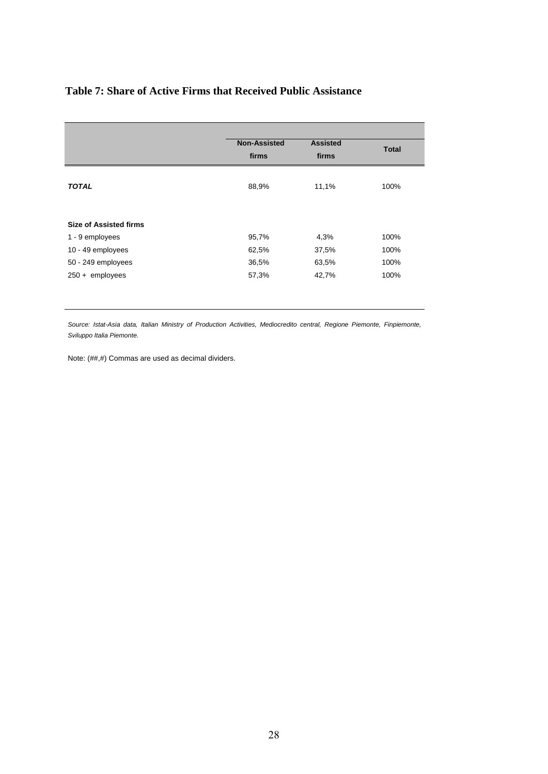## <span id="page-27-0"></span>**Table 7: Share of Active Firms that Received Public Assistance**

|                                                  | <b>Non-Assisted</b><br>firms | <b>Assisted</b><br>firms | <b>Total</b> |
|--------------------------------------------------|------------------------------|--------------------------|--------------|
| <b>TOTAL</b>                                     | 88,9%                        | 11,1%                    | 100%         |
| <b>Size of Assisted firms</b><br>1 - 9 employees | 95,7%                        | 4,3%                     | 100%         |
| 10 - 49 employees                                | 62,5%                        | 37,5%                    | 100%         |
| 50 - 249 employees                               | 36,5%                        | 63,5%                    | 100%         |
| $250 +$ employees                                | 57,3%                        | 42,7%                    | 100%         |

Source: Istat-Asia data, Italian Ministry of Production Activities, Mediocredito central, Regione Piemonte, Finpiemonte, *Sviluppo Italia Piemonte.* 

Note: (##,#) Commas are used as decimal dividers.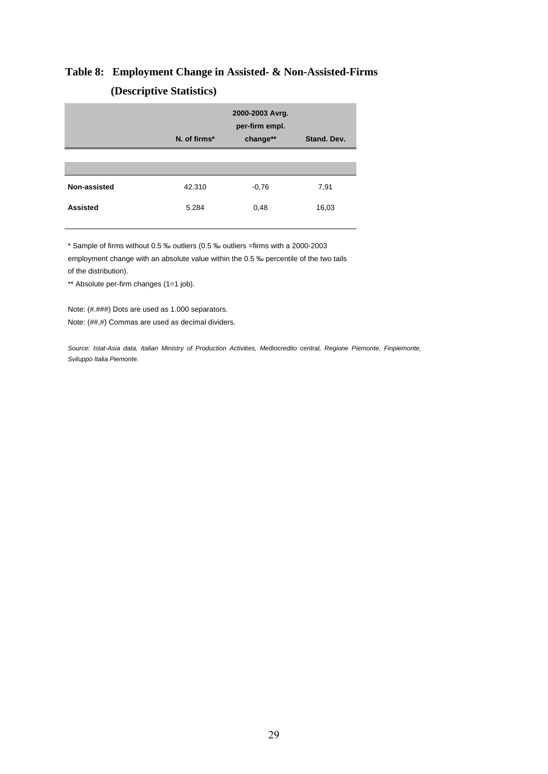# <span id="page-28-0"></span>**Table 8: Employment Change in Assisted- & Non-Assisted-Firms (Descriptive Statistics)**

|                 | N. of firms* | 2000-2003 Avrg.<br>per-firm empl.<br>change** | Stand, Dev. |
|-----------------|--------------|-----------------------------------------------|-------------|
|                 |              |                                               |             |
| Non-assisted    | 42.310       | $-0,76$                                       | 7,91        |
| <b>Assisted</b> | 5.284        | 0,48                                          | 16,03       |

\* Sample of firms without 0.5 ‰ outliers (0.5 ‰ outliers =firms with a 2000-2003 employment change with an absolute value within the 0.5 ‰ percentile of the two tails of the distribution).

\*\* Absolute per-firm changes (1=1 job).

Note: (#.###) Dots are used as 1.000 separators. Note: (##,#) Commas are used as decimal dividers.

Source: Istat-Asia data, Italian Ministry of Production Activities, Mediocredito central, Regione Piemonte, Finpiemonte, *Sviluppo Italia Piemonte.*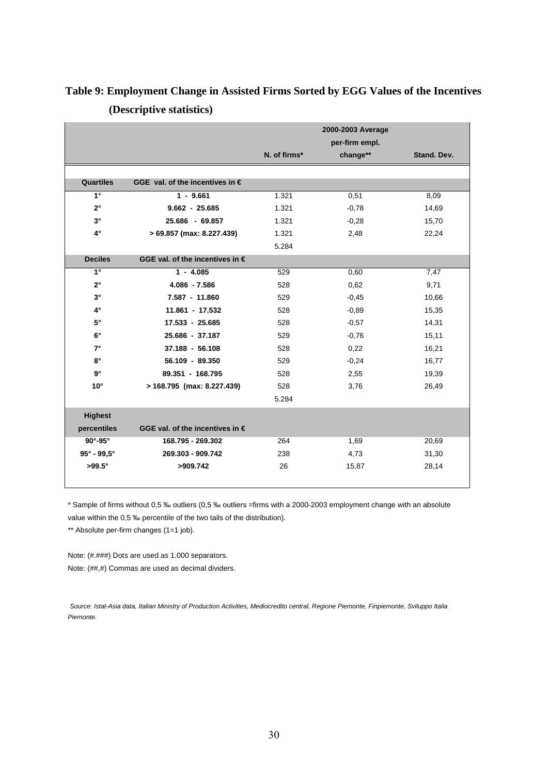|                                 |                                          | N. of firms* | 2000-2003 Average<br>per-firm empl.<br>change** | Stand, Dev. |
|---------------------------------|------------------------------------------|--------------|-------------------------------------------------|-------------|
| <b>Quartiles</b>                | GGE val. of the incentives in $\epsilon$ |              |                                                 |             |
| $\overline{\mathbf{1}^{\circ}}$ | $1 - 9.661$                              | 1.321        | 0,51                                            | 8,09        |
| $2^{\circ}$                     | $9.662 - 25.685$                         | 1.321        | $-0,78$                                         | 14,69       |
| $3^{\circ}$                     | 25.686 - 69.857                          | 1.321        | $-0,28$                                         | 15,70       |
| $4^\circ$                       | > 69.857 (max: 8.227.439)                | 1.321        | 2,48                                            | 22,24       |
|                                 |                                          | 5.284        |                                                 |             |
| <b>Deciles</b>                  | GGE val. of the incentives in $\epsilon$ |              |                                                 |             |
| $\overline{1}$                  | $1 - 4.085$                              | 529          | 0,60                                            | 7,47        |
| $2^{\circ}$                     | 4.086 - 7.586                            | 528          | 0,62                                            | 9,71        |
| $3^{\circ}$                     | 7.587 - 11.860                           | 529          | $-0,45$                                         | 10,66       |
| $4^\circ$                       | 11.861 - 17.532                          | 528          | $-0.89$                                         | 15,35       |
| $5^\circ$                       | 17.533 - 25.685                          | 528          | $-0.57$                                         | 14,31       |
| $6^{\circ}$                     | 25.686 - 37.187                          | 529          | $-0,76$                                         | 15,11       |
| $7^{\circ}$                     | $37.188 - 56.108$                        | 528          | 0,22                                            | 16,21       |
| $8^\circ$                       | 56.109 - 89.350                          | 529          | $-0,24$                                         | 16,77       |
| $9^{\circ}$                     | 89.351 - 168.795                         | 528          | 2,55                                            | 19,39       |
| $10^{\circ}$                    | > 168.795 (max: 8.227.439)               | 528          | 3,76                                            | 26,49       |
|                                 |                                          | 5.284        |                                                 |             |
| <b>Highest</b>                  |                                          |              |                                                 |             |
| percentiles                     | GGE val. of the incentives in $\epsilon$ |              |                                                 |             |
| $90^\circ - 95^\circ$           | 168.795 - 269.302                        | 264          | 1,69                                            | 20,69       |
| $95^{\circ}$ - $99.5^{\circ}$   | 269.303 - 909.742                        | 238          | 4,73                                            | 31,30       |
| $>99.5^\circ$                   | >909.742                                 | 26           | 15,87                                           | 28,14       |

## <span id="page-29-0"></span>**Table 9: Employment Change in Assisted Firms Sorted by EGG Values of the Incentives (Descriptive statistics)**

\* Sample of firms without 0,5 ‰ outliers (0,5 ‰ outliers =firms with a 2000-2003 employment change with an absolute value within the 0,5 ‰ percentile of the two tails of the distribution).

\*\* Absolute per-firm changes (1=1 job).

Note: (#.###) Dots are used as 1.000 separators. Note: (##,#) Commas are used as decimal dividers.

*Source: Istat-Asia data, Italian Ministry of Production Activities, Mediocredito central, Regione Piemonte, Finpiemonte, Sviluppo Italia Piemonte.*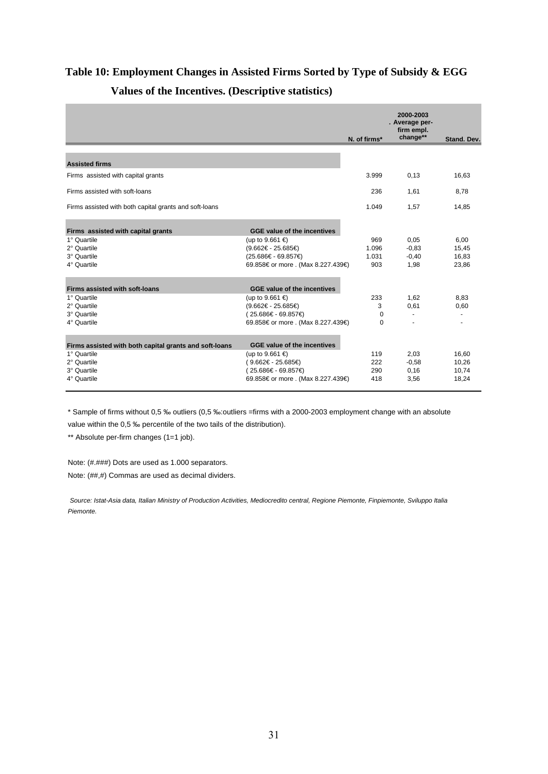# <span id="page-30-0"></span>**Table 10: Employment Changes in Assisted Firms Sorted by Type of Subsidy & EGG Values of the Incentives. (Descriptive statistics)**

|                                                        |                                    | N. of firms* | 2000-2003<br>. Average per-<br>firm empl.<br>change** | Stand, Dev. |
|--------------------------------------------------------|------------------------------------|--------------|-------------------------------------------------------|-------------|
|                                                        |                                    |              |                                                       |             |
| <b>Assisted firms</b>                                  |                                    |              |                                                       |             |
| Firms assisted with capital grants                     |                                    | 3.999        | 0,13                                                  | 16,63       |
| Firms assisted with soft-loans                         |                                    | 236          | 1,61                                                  | 8,78        |
| Firms assisted with both capital grants and soft-loans |                                    | 1.049        | 1.57                                                  | 14,85       |
| Firms assisted with capital grants                     | GGE value of the incentives        |              |                                                       |             |
| 1° Quartile                                            | (up to 9.661 €)                    | 969          | 0,05                                                  | 6,00        |
| 2° Quartile                                            | $(9.662€ - 25.685€)$               | 1.096        | $-0.83$                                               | 15,45       |
| 3° Quartile                                            | (25.686€ - 69.857€)                | 1.031        | $-0,40$                                               | 16,83       |
| 4° Quartile                                            | 69.858€ or more . (Max 8.227.439€) | 903          | 1,98                                                  | 23,86       |
| Firms assisted with soft-loans                         | <b>GGE value of the incentives</b> |              |                                                       |             |
| 1° Quartile                                            | (up to 9.661 $\in$ )               | 233          | 1.62                                                  | 8.83        |
| 2° Quartile                                            | (9.662€ - 25.685€)                 | 3            | 0.61                                                  | 0.60        |
| 3° Quartile                                            | (25.686€ - 69.857€)                | $\Omega$     | $\overline{a}$                                        |             |
| 4° Quartile                                            | 69.858€ or more . (Max 8.227.439€) | $\Omega$     |                                                       |             |
| Firms assisted with both capital grants and soft-loans | <b>GGE value of the incentives</b> |              |                                                       |             |
| 1° Quartile                                            | (up to 9.661 €)                    | 119          | 2,03                                                  | 16,60       |
| 2° Quartile                                            | (9.662€ - 25.685€)                 | 222          | $-0.58$                                               | 10,26       |
| 3° Quartile                                            | (25.686€ - 69.857€)                | 290          | 0,16                                                  | 10,74       |
| 4° Quartile                                            | 69.858€ or more . (Max 8.227.439€) | 418          | 3,56                                                  | 18,24       |

\* Sample of firms without 0,5 ‰ outliers (0,5 ‰:outliers =firms with a 2000-2003 employment change with an absolute value within the 0,5 ‰ percentile of the two tails of the distribution).

\*\* Absolute per-firm changes (1=1 job).

Note: (#.###) Dots are used as 1.000 separators. Note: (##,#) Commas are used as decimal dividers.

*Source: Istat-Asia data, Italian Ministry of Production Activities, Mediocredito central, Regione Piemonte, Finpiemonte, Sviluppo Italia Piemonte.*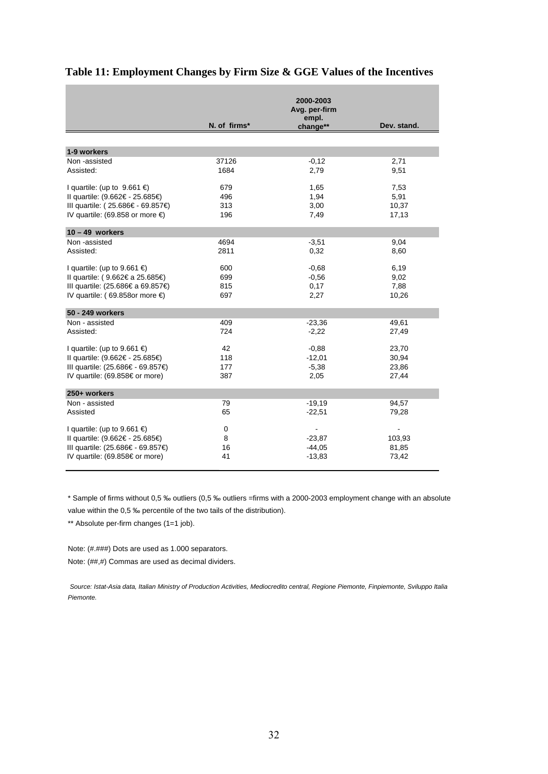|                                      |              | 2000-2003<br>Avg. per-firm |             |
|--------------------------------------|--------------|----------------------------|-------------|
|                                      | N. of firms* | empl.<br>change**          | Dev. stand. |
|                                      |              |                            |             |
| 1-9 workers                          |              |                            |             |
| Non -assisted                        | 37126        | $-0,12$                    | 2,71        |
| Assisted:                            | 1684         | 2,79                       | 9,51        |
| I quartile: (up to $9.661 \in$ )     | 679          | 1,65                       | 7,53        |
| Il quartile: (9.662€ - 25.685€)      | 496          | 1,94                       | 5,91        |
| III quartile: (25.686€ - 69.857€)    | 313          | 3,00                       | 10,37       |
| IV quartile: (69.858 or more $\in$ ) | 196          | 7,49                       | 17,13       |
| $10 - 49$ workers                    |              |                            |             |
| Non-assisted                         | 4694         | $-3,51$                    | 9,04        |
| Assisted:                            | 2811         | 0,32                       | 8,60        |
| I quartile: (up to 9.661 $\in$ )     | 600          | $-0,68$                    | 6,19        |
| Il quartile: (9.662€ a 25.685€)      | 699          | $-0.56$                    | 9,02        |
| III quartile: (25.686€ a 69.857€)    | 815          | 0,17                       | 7,88        |
| IV quartile: (69.858or more $\in$ )  | 697          | 2,27                       | 10,26       |
| 50 - 249 workers                     |              |                            |             |
| Non - assisted                       | 409          | $-23,36$                   | 49,61       |
| Assisted:                            | 724          | $-2,22$                    | 27,49       |
| I quartile: (up to 9.661 $\in$ )     | 42           | $-0.88$                    | 23.70       |
| Il quartile: (9.662€ - 25.685€)      | 118          | $-12,01$                   | 30,94       |
| III quartile: (25.686€ - 69.857€)    | 177          | $-5,38$                    | 23,86       |
| IV quartile: (69.858€ or more)       | 387          | 2,05                       | 27,44       |
| 250+ workers                         |              |                            |             |
| Non - assisted                       | 79           | $-19,19$                   | 94,57       |
| Assisted                             | 65           | $-22,51$                   | 79,28       |
| I quartile: (up to 9.661 $\in$ )     | 0            |                            |             |
| Il quartile: (9.662€ - 25.685€)      | 8            | $-23,87$                   | 103,93      |
| III quartile: (25.686€ - 69.857€)    | 16           | $-44,05$                   | 81,85       |
| IV quartile: (69.858€ or more)       | 41           | $-13,83$                   | 73,42       |

## <span id="page-31-0"></span>**Table 11: Employment Changes by Firm Size & GGE Values of the Incentives**

\* Sample of firms without 0,5 ‰ outliers (0,5 ‰ outliers =firms with a 2000-2003 employment change with an absolute value within the 0,5 ‰ percentile of the two tails of the distribution).

\*\* Absolute per-firm changes (1=1 job).

i.

Note: (#.###) Dots are used as 1.000 separators. Note: (##,#) Commas are used as decimal dividers.

*Source: Istat-Asia data, Italian Ministry of Production Activities, Mediocredito central, Regione Piemonte, Finpiemonte, Sviluppo Italia Piemonte.*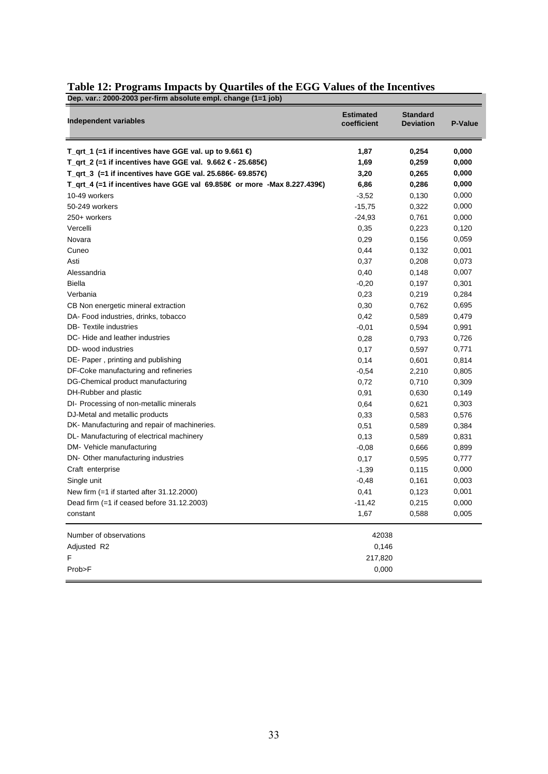| Dep. var.: 2000-2003 per-firm absolute empl. change (1=1 job)           |                                 |                                     |         |
|-------------------------------------------------------------------------|---------------------------------|-------------------------------------|---------|
| <b>Independent variables</b>                                            | <b>Estimated</b><br>coefficient | <b>Standard</b><br><b>Deviation</b> | P-Value |
| T_qrt_1 (=1 if incentives have GGE val. up to 9.661 $\bigoplus$         | 1,87                            | 0,254                               | 0,000   |
| T_qrt_2 (=1 if incentives have GGE val. $9.662 \in -25.685 \oplus$      | 1,69                            | 0,259                               | 0,000   |
| T_qrt_3 (=1 if incentives have GGE val. 25.686€ 69.857€)                | 3,20                            | 0,265                               | 0,000   |
| T_qrt_4 (=1 if incentives have GGE val 69.858€ or more -Max 8.227.439€) | 6,86                            | 0,286                               | 0,000   |
| 10-49 workers                                                           | $-3,52$                         | 0,130                               | 0,000   |
| 50-249 workers                                                          | $-15,75$                        | 0,322                               | 0,000   |
| 250+ workers                                                            | $-24,93$                        | 0,761                               | 0,000   |
| Vercelli                                                                | 0,35                            | 0,223                               | 0,120   |
| Novara                                                                  | 0,29                            | 0,156                               | 0,059   |
| Cuneo                                                                   | 0,44                            | 0,132                               | 0,001   |
| Asti                                                                    | 0,37                            | 0,208                               | 0,073   |
| Alessandria                                                             | 0,40                            | 0,148                               | 0,007   |
| Biella                                                                  | $-0,20$                         | 0,197                               | 0,301   |
| Verbania                                                                | 0,23                            | 0,219                               | 0,284   |
| CB Non energetic mineral extraction                                     | 0,30                            | 0,762                               | 0,695   |
| DA- Food industries, drinks, tobacco                                    | 0,42                            | 0,589                               | 0,479   |
| <b>DB-</b> Textile industries                                           | $-0,01$                         | 0,594                               | 0,991   |
| DC-Hide and leather industries                                          | 0,28                            | 0,793                               | 0,726   |
| DD-wood industries                                                      | 0,17                            | 0,597                               | 0,771   |
| DE-Paper, printing and publishing                                       | 0,14                            | 0,601                               | 0,814   |
| DF-Coke manufacturing and refineries                                    | $-0,54$                         | 2,210                               | 0,805   |
| DG-Chemical product manufacturing                                       | 0,72                            | 0,710                               | 0,309   |
| DH-Rubber and plastic                                                   | 0,91                            | 0,630                               | 0,149   |
| DI- Processing of non-metallic minerals                                 | 0,64                            | 0,621                               | 0,303   |
| DJ-Metal and metallic products                                          | 0,33                            | 0,583                               | 0,576   |
| DK-Manufacturing and repair of machineries.                             | 0,51                            | 0,589                               | 0,384   |
| DL- Manufacturing of electrical machinery                               | 0,13                            | 0,589                               | 0,831   |
| DM- Vehicle manufacturing                                               | $-0,08$                         | 0,666                               | 0,899   |
| DN- Other manufacturing industries                                      | 0,17                            | 0,595                               | 0,777   |
| Craft enterprise                                                        | $-1,39$                         | 0,115                               | 0,000   |
| Single unit                                                             | $-0,48$                         | 0,161                               | 0,003   |
| New firm $(=1$ if started after $31.12.2000$ )                          | 0,41                            | 0,123                               | 0,001   |
| Dead firm $(=1$ if ceased before 31.12.2003)                            | $-11,42$                        | 0,215                               | 0,000   |
| constant                                                                | 1,67                            | 0,588                               | 0,005   |
| Number of observations                                                  | 42038                           |                                     |         |
| Adjusted R2                                                             | 0,146                           |                                     |         |
| F                                                                       | 217,820                         |                                     |         |
| Prob>F                                                                  | 0,000                           |                                     |         |

## <span id="page-32-0"></span>**Table 12: Programs Impacts by Quartiles of the EGG Values of the Incentives**